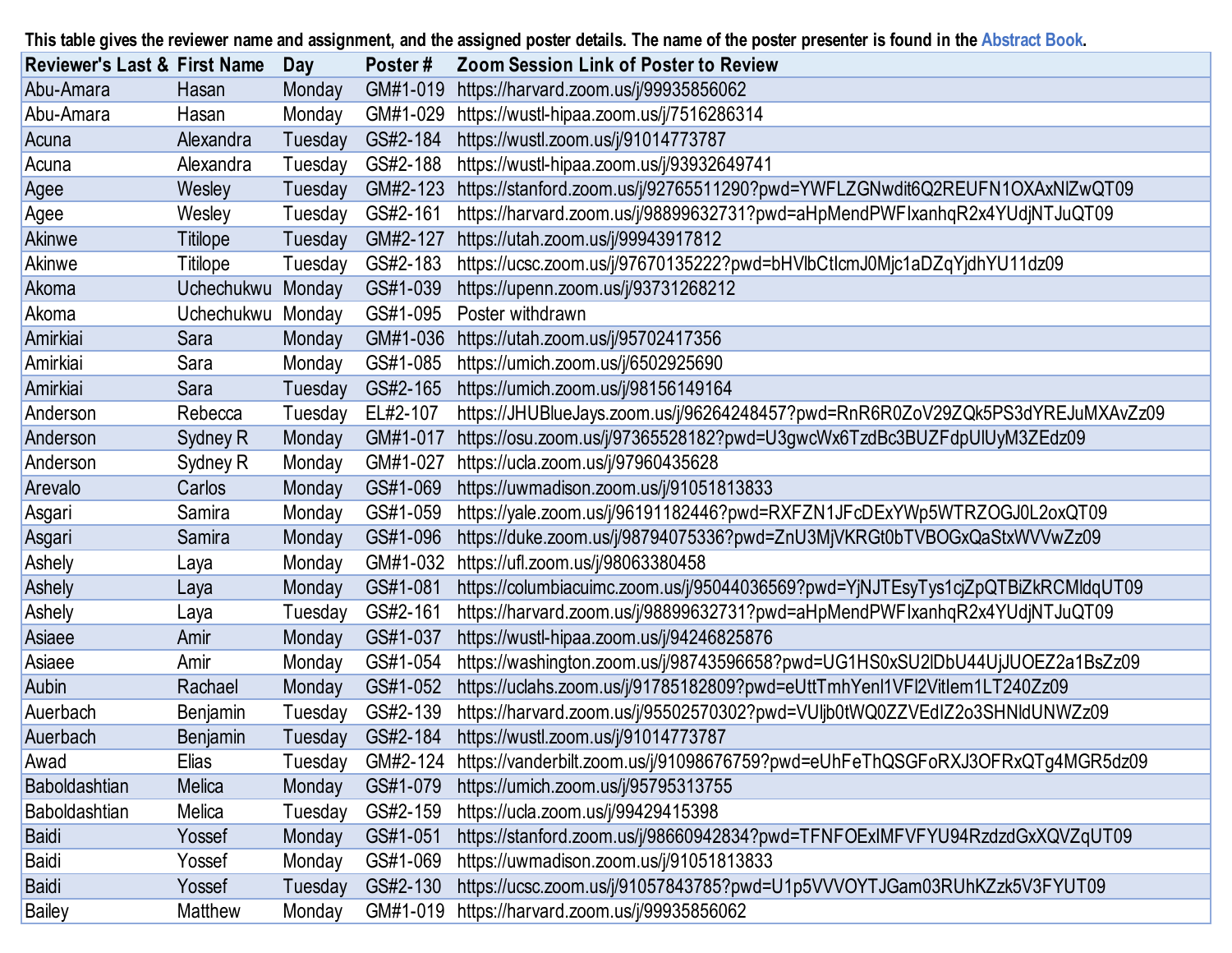|                                         |            |         |          | This table gives the reviewer name and assignment, and the assigned poster details. The name of the poster presenter is found in the Abstract Book. |
|-----------------------------------------|------------|---------|----------|-----------------------------------------------------------------------------------------------------------------------------------------------------|
| <b>Reviewer's Last &amp; First Name</b> |            | Day     | Poster#  | <b>Zoom Session Link of Poster to Review</b>                                                                                                        |
| Abu-Amara                               | Hasan      | Monday  | GM#1-019 | https://harvard.zoom.us/j/99935856062                                                                                                               |
| Abu-Amara                               | Hasan      | Monday  | GM#1-029 | https://wustl-hipaa.zoom.us/j/7516286314                                                                                                            |
| Acuna                                   | Alexandra  | Tuesday | GS#2-184 | https://wustl.zoom.us/j/91014773787                                                                                                                 |
| Acuna                                   | Alexandra  | Tuesday | GS#2-188 | https://wustl-hipaa.zoom.us/j/93932649741                                                                                                           |
| Agee                                    | Wesley     | Tuesday | GM#2-123 | https://stanford.zoom.us/j/92765511290?pwd=YWFLZGNwdit6Q2REUFN1OXAxNIZwQT09                                                                         |
| Agee                                    | Wesley     | Tuesday | GS#2-161 | https://harvard.zoom.us/j/98899632731?pwd=aHpMendPWFIxanhqR2x4YUdjNTJuQT09                                                                          |
| Akinwe                                  | Titilope   | Tuesday | GM#2-127 | https://utah.zoom.us/j/99943917812                                                                                                                  |
| Akinwe                                  | Titilope   | Tuesday | GS#2-183 | https://ucsc.zoom.us/j/97670135222?pwd=bHVlbCtlcmJ0Mjc1aDZqYjdhYU11dz09                                                                             |
| Akoma                                   | Uchechukwu | Monday  | GS#1-039 | https://upenn.zoom.us/j/93731268212                                                                                                                 |
| Akoma                                   | Uchechukwu | Monday  | GS#1-095 | Poster withdrawn                                                                                                                                    |
| Amirkiai                                | Sara       | Monday  | GM#1-036 | https://utah.zoom.us/j/95702417356                                                                                                                  |
| Amirkiai                                | Sara       | Monday  | GS#1-085 | https://umich.zoom.us/j/6502925690                                                                                                                  |
| Amirkiai                                | Sara       | Tuesday | GS#2-165 | https://umich.zoom.us/j/98156149164                                                                                                                 |
| Anderson                                | Rebecca    | Tuesday | EL#2-107 | https://JHUBlueJays.zoom.us/j/96264248457?pwd=RnR6R0ZoV29ZQk5PS3dYREJuMXAvZz09                                                                      |
| Anderson                                | Sydney R   | Monday  | GM#1-017 | https://osu.zoom.us/j/97365528182?pwd=U3gwcWx6TzdBc3BUZFdpUlUyM3ZEdz09                                                                              |
| Anderson                                | Sydney R   | Monday  | GM#1-027 | https://ucla.zoom.us/j/97960435628                                                                                                                  |
| Arevalo                                 | Carlos     | Monday  | GS#1-069 | https://uwmadison.zoom.us/j/91051813833                                                                                                             |
| Asgari                                  | Samira     | Monday  | GS#1-059 | https://yale.zoom.us/j/96191182446?pwd=RXFZN1JFcDExYWp5WTRZOGJ0L2oxQT09                                                                             |
| Asgari                                  | Samira     | Monday  | GS#1-096 | https://duke.zoom.us/j/98794075336?pwd=ZnU3MjVKRGt0bTVBOGxQaStxWVVwZz09                                                                             |
| Ashely                                  | Laya       | Monday  | GM#1-032 | https://ufl.zoom.us/j/98063380458                                                                                                                   |
| Ashely                                  | Laya       | Monday  | GS#1-081 | https://columbiacuimc.zoom.us/j/95044036569?pwd=YjNJTEsyTys1cjZpQTBiZkRCMldqUT09                                                                    |
| Ashely                                  | Laya       | Tuesday | GS#2-161 | https://harvard.zoom.us/j/98899632731?pwd=aHpMendPWFIxanhqR2x4YUdjNTJuQT09                                                                          |
| Asiaee                                  | Amir       | Monday  | GS#1-037 | https://wustl-hipaa.zoom.us/j/94246825876                                                                                                           |
| Asiaee                                  | Amir       | Monday  | GS#1-054 | https://washington.zoom.us/j/98743596658?pwd=UG1HS0xSU2IDbU44UjJUOEZ2a1BsZz09                                                                       |
| Aubin                                   | Rachael    | Monday  | GS#1-052 | https://uclahs.zoom.us/j/91785182809?pwd=eUttTmhYenl1VFl2Vitlem1LT240Zz09                                                                           |
| Auerbach                                | Benjamin   | Tuesday | GS#2-139 | https://harvard.zoom.us/j/95502570302?pwd=VUIjb0tWQ0ZZVEdIZ2o3SHNIdUNWZz09                                                                          |
| Auerbach                                | Benjamin   | Tuesday | GS#2-184 | https://wustl.zoom.us/j/91014773787                                                                                                                 |
| Awad                                    | Elias      | Tuesday | GM#2-124 | https://vanderbilt.zoom.us/j/91098676759?pwd=eUhFeThQSGFoRXJ3OFRxQTg4MGR5dz09                                                                       |
| Baboldashtian                           | Melica     | Monday  | GS#1-079 | https://umich.zoom.us/j/95795313755                                                                                                                 |
| Baboldashtian                           | Melica     | Tuesday | GS#2-159 | https://ucla.zoom.us/j/99429415398                                                                                                                  |
| Baidi                                   | Yossef     | Monday  | GS#1-051 | https://stanford.zoom.us/j/98660942834?pwd=TFNFOExIMFVFYU94RzdzdGxXQVZqUT09                                                                         |
| Baidi                                   | Yossef     | Monday  | GS#1-069 | https://uwmadison.zoom.us/j/91051813833                                                                                                             |
| <b>Baidi</b>                            | Yossef     | Tuesday | GS#2-130 | https://ucsc.zoom.us/j/91057843785?pwd=U1p5VVVOYTJGam03RUhKZzk5V3FYUT09                                                                             |
| <b>Bailey</b>                           | Matthew    | Monday  | GM#1-019 | https://harvard.zoom.us/j/99935856062                                                                                                               |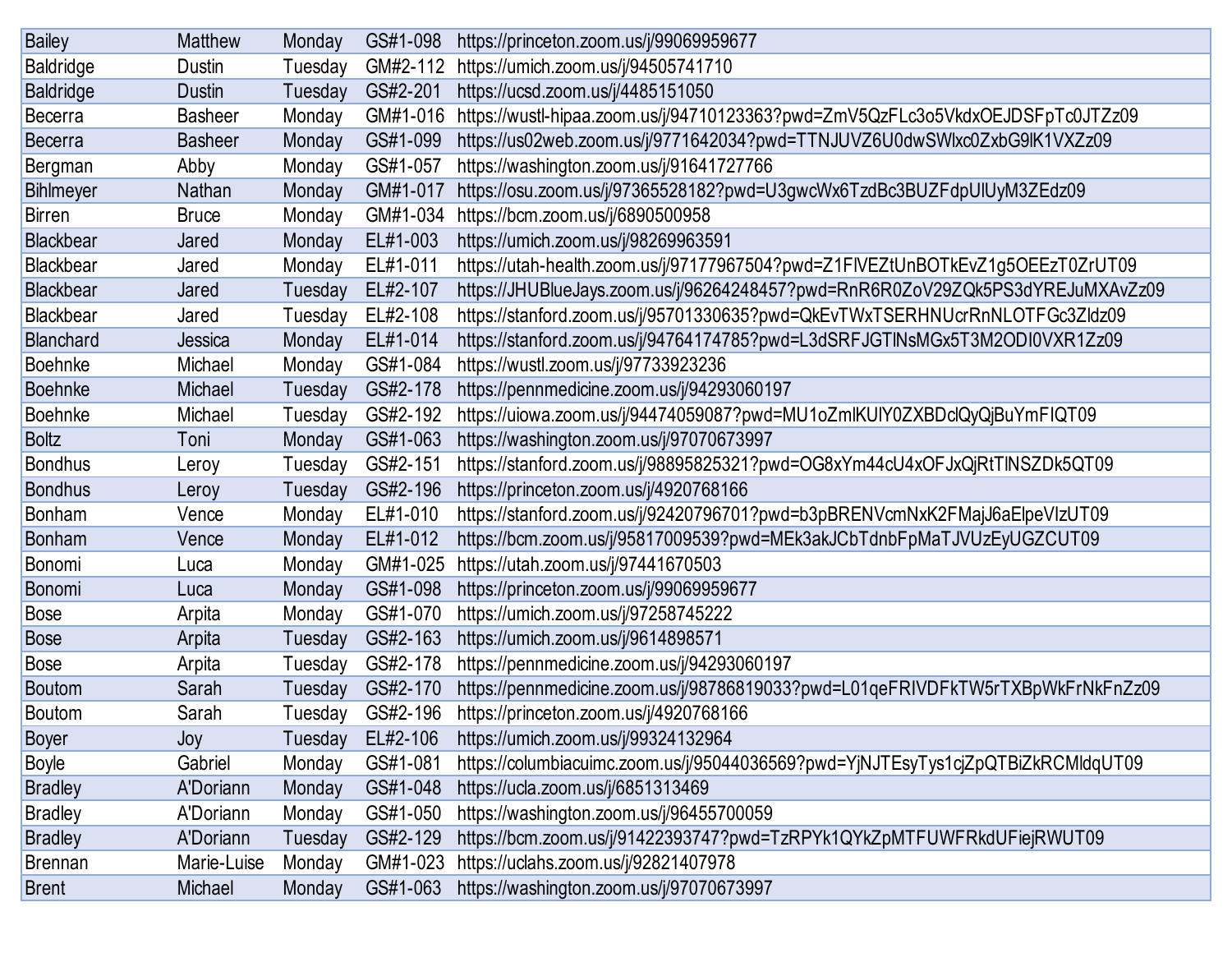| <b>Bailey</b>    | <b>Matthew</b>   | Monday  | GS#1-098 | https://princeton.zoom.us/j/99069959677                                          |
|------------------|------------------|---------|----------|----------------------------------------------------------------------------------|
| <b>Baldridge</b> | Dustin           | Tuesday | GM#2-112 | https://umich.zoom.us/j/94505741710                                              |
| <b>Baldridge</b> | <b>Dustin</b>    | Tuesday | GS#2-201 | https://ucsd.zoom.us/j/4485151050                                                |
| <b>Becerra</b>   | <b>Basheer</b>   | Monday  | GM#1-016 | https://wustl-hipaa.zoom.us/j/94710123363?pwd=ZmV5QzFLc3o5VkdxOEJDSFpTc0JTZz09   |
| <b>Becerra</b>   | <b>Basheer</b>   | Monday  | GS#1-099 | https://us02web.zoom.us/j/9771642034?pwd=TTNJUVZ6U0dwSWlxc0ZxbG9lK1VXZz09        |
| Bergman          | Abby             | Monday  | GS#1-057 | https://washington.zoom.us/j/91641727766                                         |
| Bihlmeyer        | Nathan           | Monday  | GM#1-017 | https://osu.zoom.us/j/97365528182?pwd=U3gwcWx6TzdBc3BUZFdpUlUyM3ZEdz09           |
| <b>Birren</b>    | <b>Bruce</b>     | Monday  | GM#1-034 | https://bcm.zoom.us/j/6890500958                                                 |
| Blackbear        | Jared            | Monday  | EL#1-003 | https://umich.zoom.us/j/98269963591                                              |
| <b>Blackbear</b> | Jared            | Monday  | EL#1-011 | https://utah-health.zoom.us/j/97177967504?pwd=Z1FIVEZtUnBOTkEvZ1g5OEEzT0ZrUT09   |
| <b>Blackbear</b> | Jared            | Tuesday | EL#2-107 | https://JHUBlueJays.zoom.us/j/96264248457?pwd=RnR6R0ZoV29ZQk5PS3dYREJuMXAvZz09   |
| <b>Blackbear</b> | Jared            | Tuesday | EL#2-108 | https://stanford.zoom.us/j/95701330635?pwd=QkEvTWxTSERHNUcrRnNLOTFGc3Zldz09      |
| Blanchard        | Jessica          | Monday  | EL#1-014 | https://stanford.zoom.us/j/94764174785?pwd=L3dSRFJGTINsMGx5T3M2ODI0VXR1Zz09      |
| <b>Boehnke</b>   | Michael          | Monday  | GS#1-084 | https://wustl.zoom.us/j/97733923236                                              |
| <b>Boehnke</b>   | Michael          | Tuesday | GS#2-178 | https://pennmedicine.zoom.us/j/94293060197                                       |
| <b>Boehnke</b>   | Michael          | Tuesday | GS#2-192 | https://uiowa.zoom.us/j/94474059087?pwd=MU1oZmlKUIY0ZXBDclQyQjBuYmFIQT09         |
| <b>Boltz</b>     | Toni             | Monday  | GS#1-063 | https://washington.zoom.us/j/97070673997                                         |
| <b>Bondhus</b>   | Leroy            | Tuesday | GS#2-151 | https://stanford.zoom.us/j/98895825321?pwd=OG8xYm44cU4xOFJxQjRtTINSZDk5QT09      |
| <b>Bondhus</b>   | Leroy            | Tuesday | GS#2-196 | https://princeton.zoom.us/j/4920768166                                           |
| <b>Bonham</b>    | Vence            | Monday  | EL#1-010 | https://stanford.zoom.us/j/92420796701?pwd=b3pBRENVcmNxK2FMajJ6aElpeVIzUT09      |
| <b>Bonham</b>    | Vence            | Monday  | EL#1-012 | https://bcm.zoom.us/j/95817009539?pwd=MEk3akJCbTdnbFpMaTJVUzEyUGZCUT09           |
| Bonomi           | Luca             | Monday  | GM#1-025 | https://utah.zoom.us/j/97441670503                                               |
| <b>Bonomi</b>    | Luca             | Monday  | GS#1-098 | https://princeton.zoom.us/j/99069959677                                          |
| <b>Bose</b>      | Arpita           | Monday  | GS#1-070 | https://umich.zoom.us/j/97258745222                                              |
| <b>Bose</b>      | Arpita           | Tuesday | GS#2-163 | https://umich.zoom.us/j/9614898571                                               |
| <b>Bose</b>      | Arpita           | Tuesday | GS#2-178 | https://pennmedicine.zoom.us/j/94293060197                                       |
| <b>Boutom</b>    | Sarah            | Tuesday | GS#2-170 | https://pennmedicine.zoom.us/j/98786819033?pwd=L01qeFRIVDFkTW5rTXBpWkFrNkFnZz09  |
| <b>Boutom</b>    | Sarah            | Tuesday | GS#2-196 | https://princeton.zoom.us/j/4920768166                                           |
| <b>Boyer</b>     | Joy              | Tuesday | EL#2-106 | https://umich.zoom.us/j/99324132964                                              |
| <b>Boyle</b>     | Gabriel          | Monday  | GS#1-081 | https://columbiacuimc.zoom.us/j/95044036569?pwd=YjNJTEsyTys1cjZpQTBiZkRCMldqUT09 |
| <b>Bradley</b>   | A'Doriann        | Monday  | GS#1-048 | https://ucla.zoom.us/j/6851313469                                                |
| <b>Bradley</b>   | A'Doriann        | Monday  | GS#1-050 | https://washington.zoom.us/j/96455700059                                         |
| <b>Bradley</b>   | <b>A'Doriann</b> | Tuesday | GS#2-129 | https://bcm.zoom.us/j/91422393747?pwd=TzRPYk1QYkZpMTFUWFRkdUFiejRWUT09           |
| <b>Brennan</b>   | Marie-Luise      | Monday  | GM#1-023 | https://uclahs.zoom.us/j/92821407978                                             |
| <b>Brent</b>     | Michael          | Monday  | GS#1-063 | https://washington.zoom.us/j/97070673997                                         |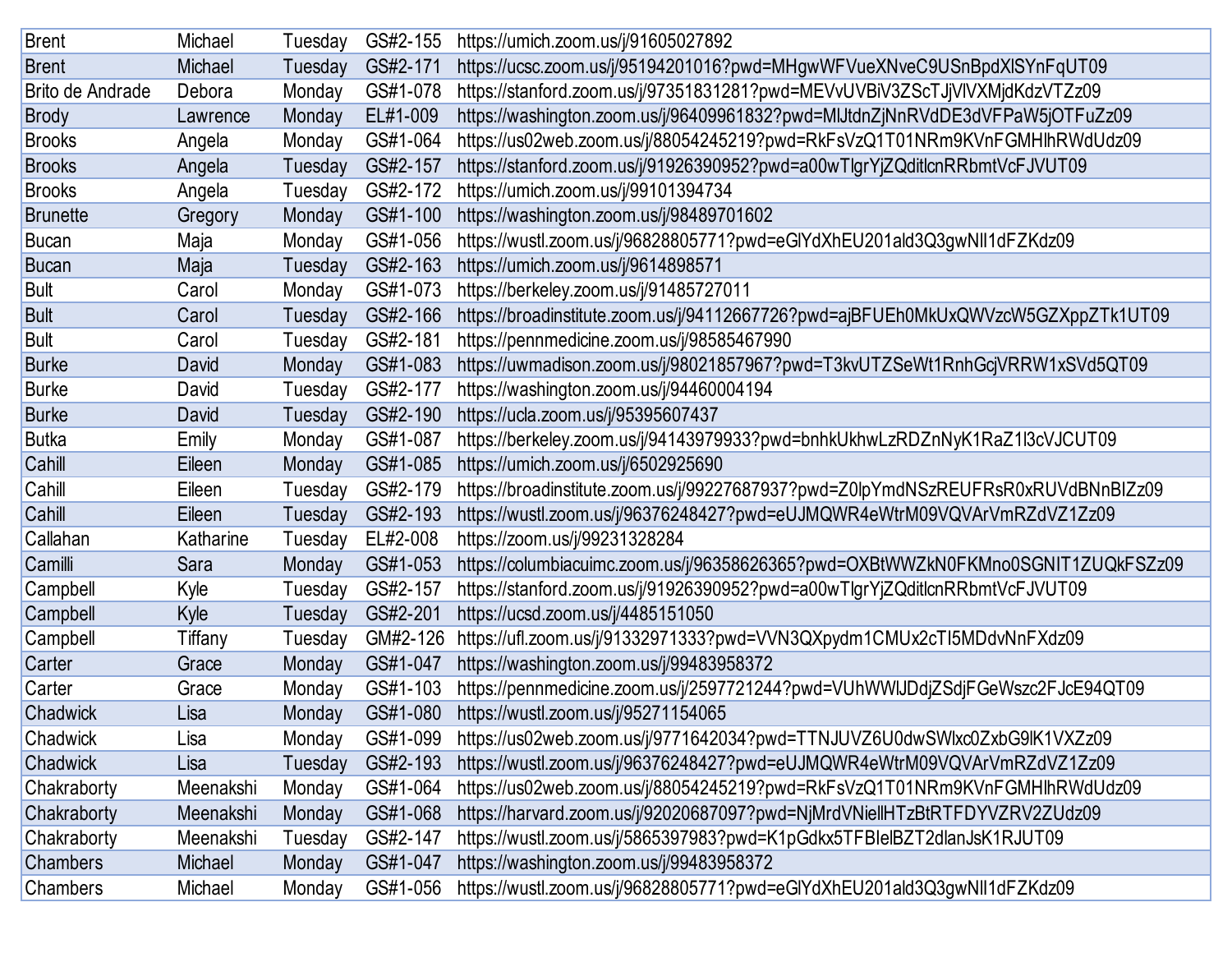| <b>Brent</b>     | Michael   | Tuesday | GS#2-155 | https://umich.zoom.us/j/91605027892                                               |
|------------------|-----------|---------|----------|-----------------------------------------------------------------------------------|
| <b>Brent</b>     | Michael   | Tuesday | GS#2-171 | https://ucsc.zoom.us/j/95194201016?pwd=MHgwWFVueXNveC9USnBpdXlSYnFqUT09           |
| Brito de Andrade | Debora    | Monday  | GS#1-078 | https://stanford.zoom.us/j/97351831281?pwd=MEVvUVBiV3ZScTJjVIVXMjdKdzVTZz09       |
| <b>Brody</b>     | Lawrence  | Monday  | EL#1-009 | https://washington.zoom.us/j/96409961832?pwd=MIJtdnZjNnRVdDE3dVFPaW5jOTFuZz09     |
| <b>Brooks</b>    | Angela    | Monday  | GS#1-064 | https://us02web.zoom.us/j/88054245219?pwd=RkFsVzQ1T01NRm9KVnFGMHlhRWdUdz09        |
| <b>Brooks</b>    | Angela    | Tuesday | GS#2-157 | https://stanford.zoom.us/j/91926390952?pwd=a00wTlgrYjZQditlcnRRbmtVcFJVUT09       |
| <b>Brooks</b>    | Angela    | Tuesday | GS#2-172 | https://umich.zoom.us/j/99101394734                                               |
| <b>Brunette</b>  | Gregory   | Monday  | GS#1-100 | https://washington.zoom.us/j/98489701602                                          |
| <b>Bucan</b>     | Maja      | Monday  | GS#1-056 | https://wustl.zoom.us/j/96828805771?pwd=eGlYdXhEU201ald3Q3gwNll1dFZKdz09          |
| <b>Bucan</b>     | Maja      | Tuesday | GS#2-163 | https://umich.zoom.us/j/9614898571                                                |
| <b>Bult</b>      | Carol     | Monday  | GS#1-073 | https://berkeley.zoom.us/j/91485727011                                            |
| <b>Bult</b>      | Carol     | Tuesday | GS#2-166 | https://broadinstitute.zoom.us/j/94112667726?pwd=ajBFUEh0MkUxQWVzcW5GZXppZTk1UT09 |
| <b>Bult</b>      | Carol     | Tuesday | GS#2-181 | https://pennmedicine.zoom.us/j/98585467990                                        |
| <b>Burke</b>     | David     | Monday  | GS#1-083 | https://uwmadison.zoom.us/j/98021857967?pwd=T3kvUTZSeWt1RnhGcjVRRW1xSVd5QT09      |
| <b>Burke</b>     | David     | Tuesday | GS#2-177 | https://washington.zoom.us/j/94460004194                                          |
| <b>Burke</b>     | David     | Tuesday | GS#2-190 | https://ucla.zoom.us/j/95395607437                                                |
| <b>Butka</b>     | Emily     | Monday  | GS#1-087 | https://berkeley.zoom.us/j/94143979933?pwd=bnhkUkhwLzRDZnNyK1RaZ1l3cVJCUT09       |
| Cahill           | Eileen    | Monday  | GS#1-085 | https://umich.zoom.us/j/6502925690                                                |
| Cahill           | Eileen    | Tuesday | GS#2-179 | https://broadinstitute.zoom.us/j/99227687937?pwd=Z0lpYmdNSzREUFRsR0xRUVdBNnBIZz09 |
| Cahill           | Eileen    | Tuesday | GS#2-193 | https://wustl.zoom.us/j/96376248427?pwd=eUJMQWR4eWtrM09VQVArVmRZdVZ1Zz09          |
| Callahan         | Katharine | Tuesday | EL#2-008 | https://zoom.us/j/99231328284                                                     |
| Camilli          | Sara      | Monday  | GS#1-053 | https://columbiacuimc.zoom.us/j/96358626365?pwd=OXBtWWZkN0FKMno0SGNIT1ZUQkFSZz09  |
| Campbell         | Kyle      | Tuesday | GS#2-157 | https://stanford.zoom.us/j/91926390952?pwd=a00wTlgrYjZQditlcnRRbmtVcFJVUT09       |
| Campbell         | Kyle      | Tuesday | GS#2-201 | https://ucsd.zoom.us/j/4485151050                                                 |
| Campbell         | Tiffany   | Tuesday | GM#2-126 | https://ufl.zoom.us/j/91332971333?pwd=VVN3QXpydm1CMUx2cTI5MDdvNnFXdz09            |
| Carter           | Grace     | Monday  | GS#1-047 | https://washington.zoom.us/j/99483958372                                          |
| Carter           | Grace     | Monday  | GS#1-103 | https://pennmedicine.zoom.us/j/2597721244?pwd=VUhWWIJDdjZSdjFGeWszc2FJcE94QT09    |
| Chadwick         | Lisa      | Monday  | GS#1-080 | https://wustl.zoom.us/j/95271154065                                               |
| Chadwick         | Lisa      | Monday  | GS#1-099 | https://us02web.zoom.us/j/9771642034?pwd=TTNJUVZ6U0dwSWlxc0ZxbG9lK1VXZz09         |
| Chadwick         | Lisa      | Tuesday | GS#2-193 | https://wustl.zoom.us/j/96376248427?pwd=eUJMQWR4eWtrM09VQVArVmRZdVZ1Zz09          |
| Chakraborty      | Meenakshi | Monday  | GS#1-064 | https://us02web.zoom.us/j/88054245219?pwd=RkFsVzQ1T01NRm9KVnFGMHlhRWdUdz09        |
| Chakraborty      | Meenakshi | Monday  | GS#1-068 | https://harvard.zoom.us/j/92020687097?pwd=NjMrdVNiellHTzBtRTFDYVZRV2ZUdz09        |
| Chakraborty      | Meenakshi | Tuesday | GS#2-147 | https://wustl.zoom.us/j/5865397983?pwd=K1pGdkx5TFBIelBZT2dlanJsK1RJUT09           |
| Chambers         | Michael   | Monday  | GS#1-047 | https://washington.zoom.us/j/99483958372                                          |
| Chambers         | Michael   | Monday  | GS#1-056 | https://wustl.zoom.us/j/96828805771?pwd=eGlYdXhEU201ald3Q3gwNll1dFZKdz09          |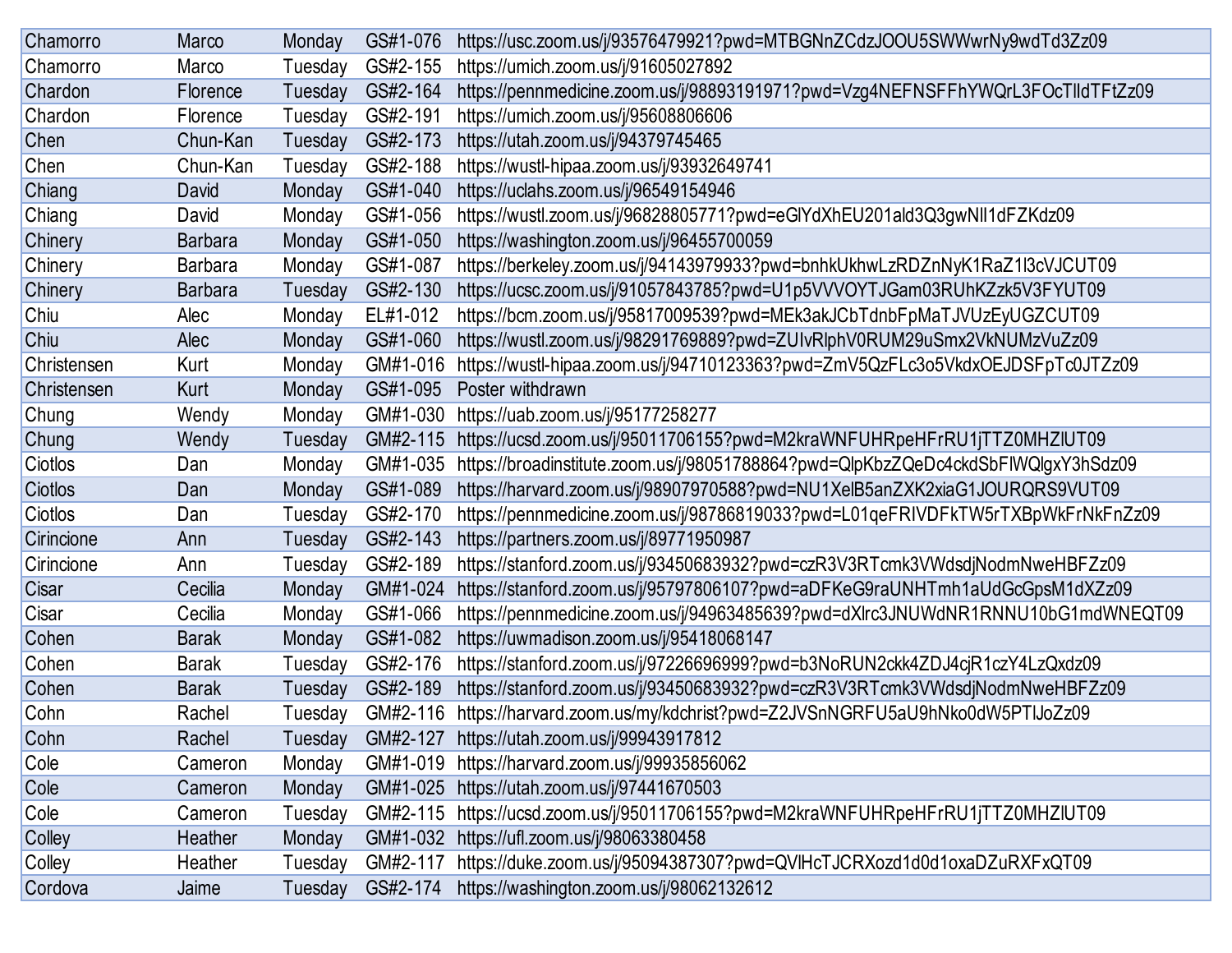| Chamorro    | Marco          | Monday  | GS#1-076 | https://usc.zoom.us/j/93576479921?pwd=MTBGNnZCdzJOOU5SWWwrNy9wdTd3Zz09            |
|-------------|----------------|---------|----------|-----------------------------------------------------------------------------------|
| Chamorro    | Marco          | Tuesday | GS#2-155 | https://umich.zoom.us/j/91605027892                                               |
| Chardon     | Florence       | Tuesday | GS#2-164 | https://pennmedicine.zoom.us/j/98893191971?pwd=Vzg4NEFNSFFhYWQrL3FOcTlldTFtZz09   |
| Chardon     | Florence       | Tuesday | GS#2-191 | https://umich.zoom.us/j/95608806606                                               |
| Chen        | Chun-Kan       | Tuesday | GS#2-173 | https://utah.zoom.us/j/94379745465                                                |
| Chen        | Chun-Kan       | Tuesday | GS#2-188 | https://wustl-hipaa.zoom.us/j/93932649741                                         |
| Chiang      | David          | Monday  | GS#1-040 | https://uclahs.zoom.us/j/96549154946                                              |
| Chiang      | David          | Monday  | GS#1-056 | https://wustl.zoom.us/j/96828805771?pwd=eGlYdXhEU201ald3Q3gwNlI1dFZKdz09          |
| Chinery     | <b>Barbara</b> | Monday  | GS#1-050 | https://washington.zoom.us/j/96455700059                                          |
| Chinery     | <b>Barbara</b> | Monday  | GS#1-087 | https://berkeley.zoom.us/j/94143979933?pwd=bnhkUkhwLzRDZnNyK1RaZ1l3cVJCUT09       |
| Chinery     | <b>Barbara</b> | Tuesday | GS#2-130 | https://ucsc.zoom.us/j/91057843785?pwd=U1p5VVVOYTJGam03RUhKZzk5V3FYUT09           |
| Chiu        | Alec           | Monday  | EL#1-012 | https://bcm.zoom.us/j/95817009539?pwd=MEk3akJCbTdnbFpMaTJVUzEyUGZCUT09            |
| Chiu        | Alec           | Monday  | GS#1-060 | https://wustl.zoom.us/j/98291769889?pwd=ZUIvRlphV0RUM29uSmx2VkNUMzVuZz09          |
| Christensen | Kurt           | Monday  | GM#1-016 | https://wustl-hipaa.zoom.us/j/94710123363?pwd=ZmV5QzFLc3o5VkdxOEJDSFpTc0JTZz09    |
| Christensen | Kurt           | Monday  | GS#1-095 | Poster withdrawn                                                                  |
| Chung       | Wendy          | Monday  | GM#1-030 | https://uab.zoom.us/j/95177258277                                                 |
| Chung       | Wendy          | Tuesday | GM#2-115 | https://ucsd.zoom.us/j/95011706155?pwd=M2kraWNFUHRpeHFrRU1jTTZ0MHZIUT09           |
| Ciotlos     | Dan            | Monday  | GM#1-035 | https://broadinstitute.zoom.us/j/98051788864?pwd=QlpKbzZQeDc4ckdSbFIWQlgxY3hSdz09 |
| Ciotlos     | Dan            | Monday  | GS#1-089 | https://harvard.zoom.us/j/98907970588?pwd=NU1XelB5anZXK2xiaG1JOURQRS9VUT09        |
| Ciotlos     | Dan            | Tuesday | GS#2-170 | https://pennmedicine.zoom.us/j/98786819033?pwd=L01qeFRIVDFkTW5rTXBpWkFrNkFnZz09   |
| Cirincione  | Ann            | Tuesday | GS#2-143 | https://partners.zoom.us/j/89771950987                                            |
| Cirincione  | Ann            | Tuesday | GS#2-189 | https://stanford.zoom.us/j/93450683932?pwd=czR3V3RTcmk3VWdsdjNodmNweHBFZz09       |
| Cisar       | Cecilia        | Monday  | GM#1-024 | https://stanford.zoom.us/j/95797806107?pwd=aDFKeG9raUNHTmh1aUdGcGpsM1dXZz09       |
| Cisar       | Cecilia        | Monday  | GS#1-066 | https://pennmedicine.zoom.us/j/94963485639?pwd=dXlrc3JNUWdNR1RNNU10bG1mdWNEQT09   |
| Cohen       | <b>Barak</b>   | Monday  | GS#1-082 | https://uwmadison.zoom.us/j/95418068147                                           |
| Cohen       | <b>Barak</b>   | Tuesday | GS#2-176 | https://stanford.zoom.us/j/97226696999?pwd=b3NoRUN2ckk4ZDJ4cjR1czY4LzQxdz09       |
| Cohen       | <b>Barak</b>   | Tuesday | GS#2-189 | https://stanford.zoom.us/j/93450683932?pwd=czR3V3RTcmk3VWdsdjNodmNweHBFZz09       |
| Cohn        | Rachel         | Tuesday | GM#2-116 | https://harvard.zoom.us/my/kdchrist?pwd=Z2JVSnNGRFU5aU9hNko0dW5PTIJoZz09          |
| Cohn        | Rachel         | Tuesday |          | GM#2-127 https://utah.zoom.us/j/99943917812                                       |
| Cole        | Cameron        | Monday  |          | GM#1-019 https://harvard.zoom.us/j/99935856062                                    |
| Cole        | Cameron        | Monday  |          | GM#1-025 https://utah.zoom.us/j/97441670503                                       |
| Cole        | Cameron        | Tuesday | GM#2-115 | https://ucsd.zoom.us/j/95011706155?pwd=M2kraWNFUHRpeHFrRU1jTTZ0MHZIUT09           |
| Colley      | Heather        | Monday  |          | GM#1-032 https://ufl.zoom.us/j/98063380458                                        |
| Colley      | Heather        | Tuesday | GM#2-117 | https://duke.zoom.us/j/95094387307?pwd=QVIHcTJCRXozd1d0d1oxaDZuRXFxQT09           |
| Cordova     | Jaime          | Tuesday | GS#2-174 | https://washington.zoom.us/j/98062132612                                          |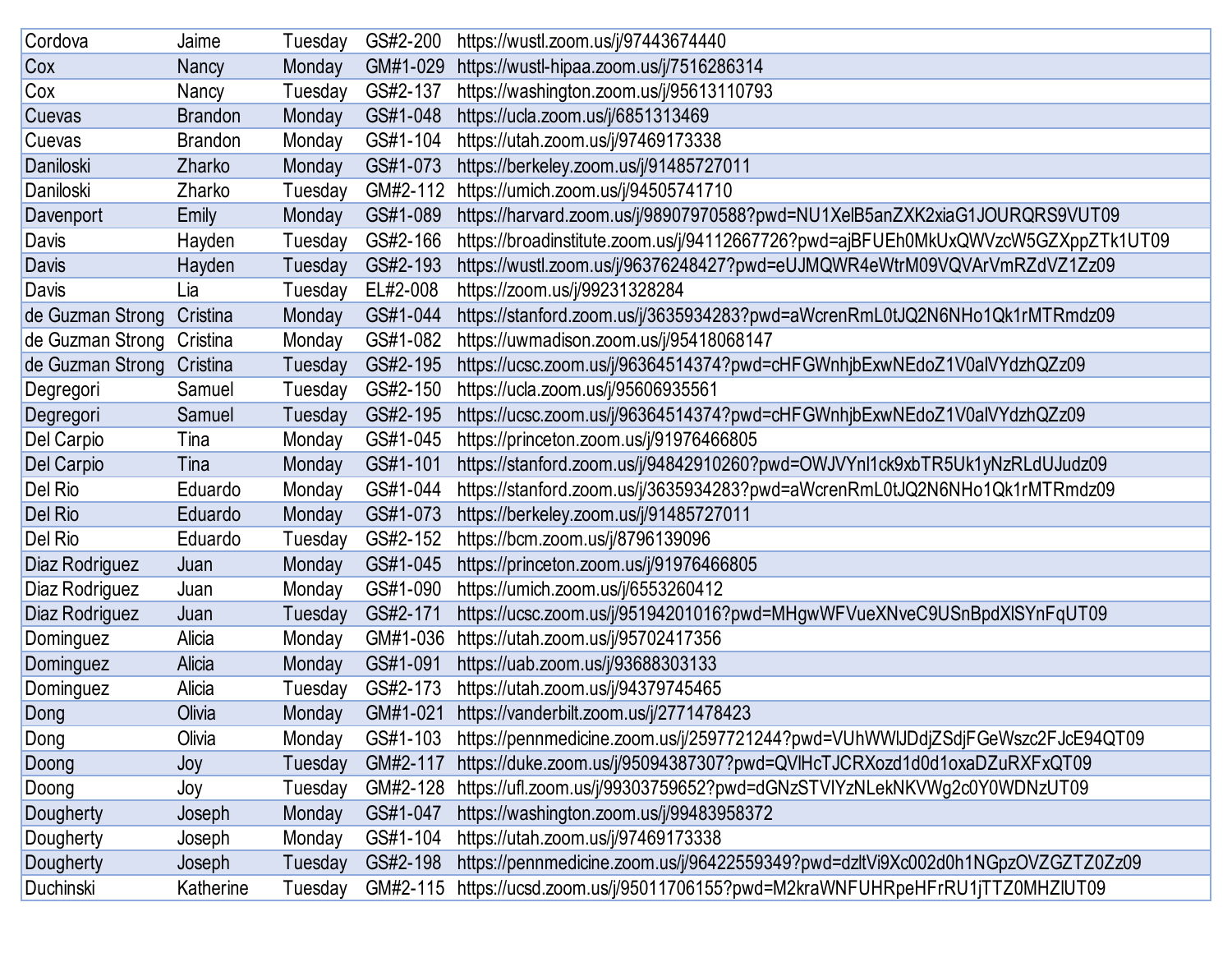| Cordova          | Jaime          | Tuesday | GS#2-200 | https://wustl.zoom.us/j/97443674440                                               |
|------------------|----------------|---------|----------|-----------------------------------------------------------------------------------|
| Cox              | Nancy          | Monday  | GM#1-029 | https://wustl-hipaa.zoom.us/j/7516286314                                          |
| Cox              | Nancy          | Tuesday | GS#2-137 | https://washington.zoom.us/j/95613110793                                          |
| Cuevas           | <b>Brandon</b> | Monday  | GS#1-048 | https://ucla.zoom.us/j/6851313469                                                 |
| Cuevas           | <b>Brandon</b> | Monday  | GS#1-104 | https://utah.zoom.us/j/97469173338                                                |
| Daniloski        | Zharko         | Monday  | GS#1-073 | https://berkeley.zoom.us/j/91485727011                                            |
| Daniloski        | Zharko         | Tuesday | GM#2-112 | https://umich.zoom.us/j/94505741710                                               |
| Davenport        | Emily          | Monday  | GS#1-089 | https://harvard.zoom.us/j/98907970588?pwd=NU1XelB5anZXK2xiaG1JOURQRS9VUT09        |
| Davis            | Hayden         | Tuesday | GS#2-166 | https://broadinstitute.zoom.us/j/94112667726?pwd=ajBFUEh0MkUxQWVzcW5GZXppZTk1UT09 |
| <b>Davis</b>     | Hayden         | Tuesday | GS#2-193 | https://wustl.zoom.us/j/96376248427?pwd=eUJMQWR4eWtrM09VQVArVmRZdVZ1Zz09          |
| Davis            | Lia            | Tuesday | EL#2-008 | https://zoom.us/j/99231328284                                                     |
| de Guzman Strong | Cristina       | Monday  | GS#1-044 | https://stanford.zoom.us/j/3635934283?pwd=aWcrenRmL0tJQ2N6NHo1Qk1rMTRmdz09        |
| de Guzman Strong | Cristina       | Monday  | GS#1-082 | https://uwmadison.zoom.us/j/95418068147                                           |
| de Guzman Strong | Cristina       | Tuesday | GS#2-195 | https://ucsc.zoom.us/j/96364514374?pwd=cHFGWnhjbExwNEdoZ1V0alVYdzhQZz09           |
| Degregori        | Samuel         | Tuesday | GS#2-150 | https://ucla.zoom.us/j/95606935561                                                |
| Degregori        | Samuel         | Tuesday | GS#2-195 | https://ucsc.zoom.us/j/96364514374?pwd=cHFGWnhjbExwNEdoZ1V0alVYdzhQZz09           |
| Del Carpio       | Tina           | Monday  | GS#1-045 | https://princeton.zoom.us/j/91976466805                                           |
| Del Carpio       | Tina           | Monday  | GS#1-101 | https://stanford.zoom.us/j/94842910260?pwd=OWJVYnl1ck9xbTR5Uk1yNzRLdUJudz09       |
| Del Rio          | Eduardo        | Monday  | GS#1-044 | https://stanford.zoom.us/j/3635934283?pwd=aWcrenRmL0tJQ2N6NHo1Qk1rMTRmdz09        |
| Del Rio          | Eduardo        | Monday  | GS#1-073 | https://berkeley.zoom.us/j/91485727011                                            |
| Del Rio          | Eduardo        | Tuesday | GS#2-152 | https://bcm.zoom.us/j/8796139096                                                  |
| Diaz Rodriguez   | Juan           | Monday  | GS#1-045 | https://princeton.zoom.us/j/91976466805                                           |
| Diaz Rodriguez   | Juan           | Monday  | GS#1-090 | https://umich.zoom.us/j/6553260412                                                |
| Diaz Rodriguez   | Juan           | Tuesday | GS#2-171 | https://ucsc.zoom.us/j/95194201016?pwd=MHgwWFVueXNveC9USnBpdXlSYnFqUT09           |
| Dominguez        | Alicia         | Monday  | GM#1-036 | https://utah.zoom.us/j/95702417356                                                |
| Dominguez        | Alicia         | Monday  | GS#1-091 | https://uab.zoom.us/j/93688303133                                                 |
| Dominguez        | Alicia         | Tuesday | GS#2-173 | https://utah.zoom.us/j/94379745465                                                |
| Dong             | Olivia         | Monday  | GM#1-021 | https://vanderbilt.zoom.us/j/2771478423                                           |
| Dong             | Olivia         | Monday  | GS#1-103 | https://pennmedicine.zoom.us/j/2597721244?pwd=VUhWWIJDdjZSdjFGeWszc2FJcE94QT09    |
| Doong            | Joy            | Tuesday | GM#2-117 | https://duke.zoom.us/j/95094387307?pwd=QVIHcTJCRXozd1d0d1oxaDZuRXFxQT09           |
| Doong            | Joy            | Tuesday | GM#2-128 | https://ufl.zoom.us/j/99303759652?pwd=dGNzSTVIYzNLekNKVWg2c0Y0WDNzUT09            |
| Dougherty        | Joseph         | Monday  | GS#1-047 | https://washington.zoom.us/j/99483958372                                          |
| Dougherty        | Joseph         | Monday  | GS#1-104 | https://utah.zoom.us/j/97469173338                                                |
| Dougherty        | Joseph         | Tuesday | GS#2-198 | https://pennmedicine.zoom.us/j/96422559349?pwd=dzltVi9Xc002d0h1NGpzOVZGZTZ0Zz09   |
| Duchinski        | Katherine      | Tuesday | GM#2-115 | https://ucsd.zoom.us/j/95011706155?pwd=M2kraWNFUHRpeHFrRU1jTTZ0MHZIUT09           |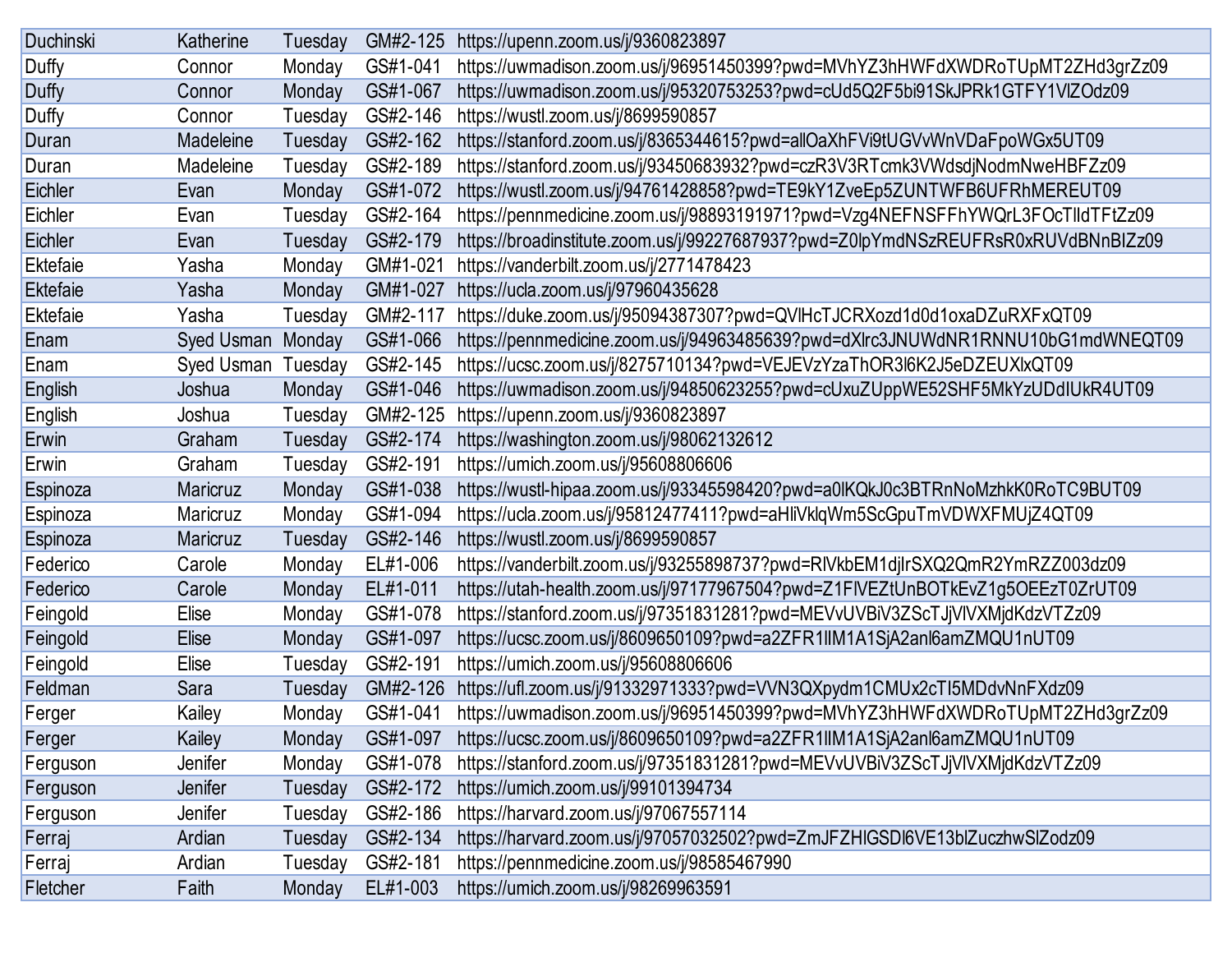| Duchinski       | Katherine       | Tuesday | GM#2-125 | https://upenn.zoom.us/j/9360823897                                                |
|-----------------|-----------------|---------|----------|-----------------------------------------------------------------------------------|
| Duffy           | Connor          | Monday  | GS#1-041 | https://uwmadison.zoom.us/j/96951450399?pwd=MVhYZ3hHWFdXWDRoTUpMT2ZHd3grZz09      |
| Duffy           | Connor          | Monday  | GS#1-067 | https://uwmadison.zoom.us/j/95320753253?pwd=cUd5Q2F5bi91SkJPRk1GTFY1VlZOdz09      |
| Duffy           | Connor          | Tuesday | GS#2-146 | https://wustl.zoom.us/j/8699590857                                                |
| Duran           | Madeleine       | Tuesday | GS#2-162 | https://stanford.zoom.us/j/8365344615?pwd=allOaXhFVi9tUGVvWnVDaFpoWGx5UT09        |
| Duran           | Madeleine       | Tuesday | GS#2-189 | https://stanford.zoom.us/j/93450683932?pwd=czR3V3RTcmk3VWdsdjNodmNweHBFZz09       |
| Eichler         | Evan            | Monday  | GS#1-072 | https://wustl.zoom.us/j/94761428858?pwd=TE9kY1ZveEp5ZUNTWFB6UFRhMEREUT09          |
| Eichler         | Evan            | Tuesday | GS#2-164 | https://pennmedicine.zoom.us/j/98893191971?pwd=Vzg4NEFNSFFhYWQrL3FOcTlldTFtZz09   |
| Eichler         | Evan            | Tuesday | GS#2-179 | https://broadinstitute.zoom.us/j/99227687937?pwd=Z0lpYmdNSzREUFRsR0xRUVdBNnBIZz09 |
| Ektefaie        | Yasha           | Monday  | GM#1-021 | https://vanderbilt.zoom.us/j/2771478423                                           |
| <b>Ektefaie</b> | Yasha           | Monday  | GM#1-027 | https://ucla.zoom.us/j/97960435628                                                |
| <b>Ektefaie</b> | Yasha           | Tuesday | GM#2-117 | https://duke.zoom.us/j/95094387307?pwd=QVIHcTJCRXozd1d0d1oxaDZuRXFxQT09           |
| Enam            | Syed Usman      | Monday  | GS#1-066 | https://pennmedicine.zoom.us/j/94963485639?pwd=dXlrc3JNUWdNR1RNNU10bG1mdWNEQT09   |
| Enam            | Syed Usman      | Tuesday | GS#2-145 | https://ucsc.zoom.us/j/8275710134?pwd=VEJEVzYzaThOR3l6K2J5eDZEUXlxQT09            |
| English         | Joshua          | Monday  | GS#1-046 | https://uwmadison.zoom.us/j/94850623255?pwd=cUxuZUppWE52SHF5MkYzUDdIUkR4UT09      |
| English         | Joshua          | Tuesday | GM#2-125 | https://upenn.zoom.us/j/9360823897                                                |
| Erwin           | Graham          | Tuesday | GS#2-174 | https://washington.zoom.us/j/98062132612                                          |
| Erwin           | Graham          | Tuesday | GS#2-191 | https://umich.zoom.us/j/95608806606                                               |
| Espinoza        | Maricruz        | Monday  | GS#1-038 | https://wustl-hipaa.zoom.us/j/93345598420?pwd=a0lKQkJ0c3BTRnNoMzhkK0RoTC9BUT09    |
| Espinoza        | <b>Maricruz</b> | Monday  | GS#1-094 | https://ucla.zoom.us/j/95812477411?pwd=aHliVklqWm5ScGpuTmVDWXFMUjZ4QT09           |
| Espinoza        | <b>Maricruz</b> | Tuesday | GS#2-146 | https://wustl.zoom.us/j/8699590857                                                |
| Federico        | Carole          | Monday  | EL#1-006 | https://vanderbilt.zoom.us/j/93255898737?pwd=RIVkbEM1djlrSXQ2QmR2YmRZZ003dz09     |
| Federico        | Carole          | Monday  | EL#1-011 | https://utah-health.zoom.us/j/97177967504?pwd=Z1FIVEZtUnBOTkEvZ1g5OEEzT0ZrUT09    |
| Feingold        | Elise           | Monday  | GS#1-078 | https://stanford.zoom.us/j/97351831281?pwd=MEVvUVBiV3ZScTJjVIVXMjdKdzVTZz09       |
| Feingold        | Elise           | Monday  | GS#1-097 | https://ucsc.zoom.us/j/8609650109?pwd=a2ZFR1IIM1A1SjA2anl6amZMQU1nUT09            |
| Feingold        | Elise           | Tuesday | GS#2-191 | https://umich.zoom.us/j/95608806606                                               |
| Feldman         | Sara            | Tuesday | GM#2-126 | https://ufl.zoom.us/j/91332971333?pwd=VVN3QXpydm1CMUx2cTI5MDdvNnFXdz09            |
| Ferger          | Kailey          | Monday  | GS#1-041 | https://uwmadison.zoom.us/j/96951450399?pwd=MVhYZ3hHWFdXWDRoTUpMT2ZHd3grZz09      |
| Ferger          | Kailey          | Monday  | GS#1-097 | https://ucsc.zoom.us/j/8609650109?pwd=a2ZFR1IIM1A1SjA2anl6amZMQU1nUT09            |
| Ferguson        | Jenifer         | Monday  | GS#1-078 | https://stanford.zoom.us/j/97351831281?pwd=MEVvUVBiV3ZScTJjVIVXMjdKdzVTZz09       |
| Ferguson        | Jenifer         | Tuesday | GS#2-172 | https://umich.zoom.us/j/99101394734                                               |
| Ferguson        | Jenifer         | Tuesday | GS#2-186 | https://harvard.zoom.us/j/97067557114                                             |
| Ferraj          | Ardian          | Tuesday | GS#2-134 | https://harvard.zoom.us/j/97057032502?pwd=ZmJFZHIGSDI6VE13blZuczhwSlZodz09        |
| Ferraj          | Ardian          | Tuesday | GS#2-181 | https://pennmedicine.zoom.us/j/98585467990                                        |
| Fletcher        | Faith           | Monday  | EL#1-003 | https://umich.zoom.us/j/98269963591                                               |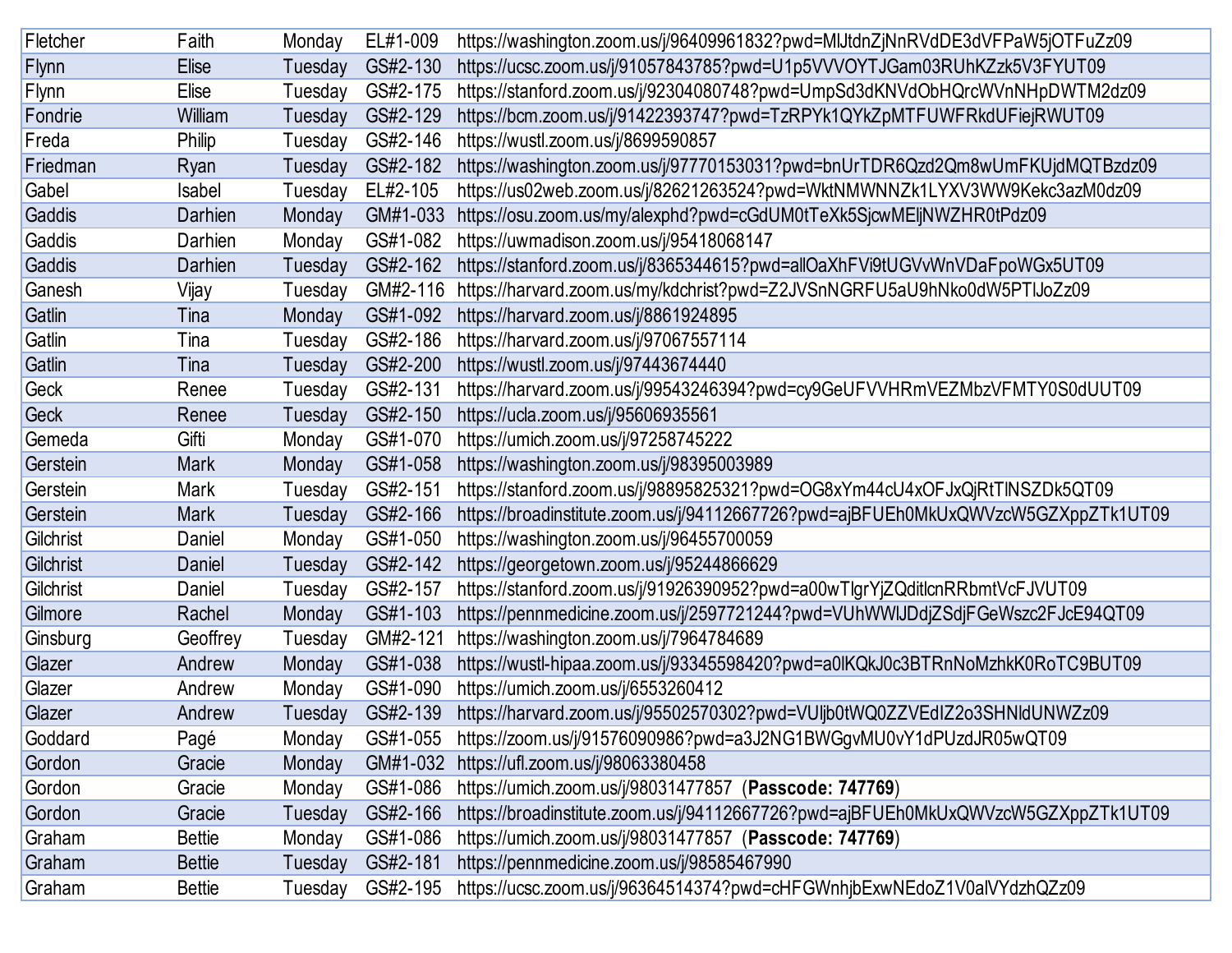| Fletcher    | Faith         | Monday  | EL#1-009 | https://washington.zoom.us/j/96409961832?pwd=MIJtdnZjNnRVdDE3dVFPaW5jOTFuZz09     |
|-------------|---------------|---------|----------|-----------------------------------------------------------------------------------|
| Flynn       | Elise         | Tuesday | GS#2-130 | https://ucsc.zoom.us/j/91057843785?pwd=U1p5VVVOYTJGam03RUhKZzk5V3FYUT09           |
| Flynn       | Elise         | Tuesday | GS#2-175 | https://stanford.zoom.us/j/92304080748?pwd=UmpSd3dKNVdObHQrcWVnNHpDWTM2dz09       |
| Fondrie     | William       | Tuesday | GS#2-129 | https://bcm.zoom.us/j/91422393747?pwd=TzRPYk1QYkZpMTFUWFRkdUFiejRWUT09            |
| Freda       | Philip        | Tuesday | GS#2-146 | https://wustl.zoom.us/j/8699590857                                                |
| Friedman    | Ryan          | Tuesday | GS#2-182 | https://washington.zoom.us/j/97770153031?pwd=bnUrTDR6Qzd2Qm8wUmFKUjdMQTBzdz09     |
| Gabel       | Isabel        | Tuesday | EL#2-105 | https://us02web.zoom.us/j/82621263524?pwd=WktNMWNNZk1LYXV3WW9Kekc3azM0dz09        |
| Gaddis      | Darhien       | Monday  | GM#1-033 | https://osu.zoom.us/my/alexphd?pwd=cGdUM0tTeXk5SjcwMEljNWZHR0tPdz09               |
| Gaddis      | Darhien       | Monday  | GS#1-082 | https://uwmadison.zoom.us/j/95418068147                                           |
| Gaddis      | Darhien       | Tuesday | GS#2-162 | https://stanford.zoom.us/j/8365344615?pwd=allOaXhFVi9tUGVvWnVDaFpoWGx5UT09        |
| Ganesh      | Vijay         | Tuesday | GM#2-116 | https://harvard.zoom.us/my/kdchrist?pwd=Z2JVSnNGRFU5aU9hNko0dW5PTIJoZz09          |
| Gatlin      | Tina          | Monday  | GS#1-092 | https://harvard.zoom.us/j/8861924895                                              |
| Gatlin      | Tina          | Tuesday | GS#2-186 | https://harvard.zoom.us/j/97067557114                                             |
| Gatlin      | Tina          | Tuesday | GS#2-200 | https://wustl.zoom.us/j/97443674440                                               |
| Geck        | Renee         | Tuesday | GS#2-131 | https://harvard.zoom.us/j/99543246394?pwd=cy9GeUFVVHRmVEZMbzVFMTY0S0dUUT09        |
| <b>Geck</b> | Renee         | Tuesday | GS#2-150 | https://ucla.zoom.us/j/95606935561                                                |
| Gemeda      | Gifti         | Monday  | GS#1-070 | https://umich.zoom.us/j/97258745222                                               |
| Gerstein    | <b>Mark</b>   | Monday  | GS#1-058 | https://washington.zoom.us/j/98395003989                                          |
| Gerstein    | Mark          | Tuesday | GS#2-151 | https://stanford.zoom.us/j/98895825321?pwd=OG8xYm44cU4xOFJxQjRtTINSZDk5QT09       |
| Gerstein    | <b>Mark</b>   | Tuesday | GS#2-166 | https://broadinstitute.zoom.us/j/94112667726?pwd=ajBFUEh0MkUxQWVzcW5GZXppZTk1UT09 |
| Gilchrist   | Daniel        | Monday  | GS#1-050 | https://washington.zoom.us/j/96455700059                                          |
| Gilchrist   | Daniel        | Tuesday | GS#2-142 | https://georgetown.zoom.us/j/95244866629                                          |
| Gilchrist   | Daniel        | Tuesday | GS#2-157 | https://stanford.zoom.us/j/91926390952?pwd=a00wTlgrYjZQditlcnRRbmtVcFJVUT09       |
| Gilmore     | Rachel        | Monday  | GS#1-103 | https://pennmedicine.zoom.us/j/2597721244?pwd=VUhWWIJDdjZSdjFGeWszc2FJcE94QT09    |
| Ginsburg    | Geoffrey      | Tuesday | GM#2-121 | https://washington.zoom.us/j/7964784689                                           |
| Glazer      | Andrew        | Monday  | GS#1-038 | https://wustl-hipaa.zoom.us/j/93345598420?pwd=a0lKQkJ0c3BTRnNoMzhkK0RoTC9BUT09    |
| Glazer      | Andrew        | Monday  | GS#1-090 | https://umich.zoom.us/j/6553260412                                                |
| Glazer      | Andrew        | Tuesday | GS#2-139 | https://harvard.zoom.us/j/95502570302?pwd=VUljb0tWQ0ZZVEdIZ2o3SHNldUNWZz09        |
| Goddard     | Pagé          | Monday  | GS#1-055 | https://zoom.us/j/91576090986?pwd=a3J2NG1BWGgvMU0vY1dPUzdJR05wQT09                |
| Gordon      | Gracie        | Monday  | GM#1-032 | https://ufl.zoom.us/j/98063380458                                                 |
| Gordon      | Gracie        | Monday  | GS#1-086 | https://umich.zoom.us/j/98031477857 (Passcode: 747769)                            |
| Gordon      | Gracie        | Tuesday | GS#2-166 | https://broadinstitute.zoom.us/j/94112667726?pwd=ajBFUEh0MkUxQWVzcW5GZXppZTk1UT09 |
| Graham      | <b>Bettie</b> | Monday  | GS#1-086 | https://umich.zoom.us/j/98031477857 (Passcode: 747769)                            |
| Graham      | <b>Bettie</b> | Tuesday | GS#2-181 | https://pennmedicine.zoom.us/j/98585467990                                        |
| Graham      | <b>Bettie</b> | Tuesday | GS#2-195 | https://ucsc.zoom.us/j/96364514374?pwd=cHFGWnhjbExwNEdoZ1V0alVYdzhQZz09           |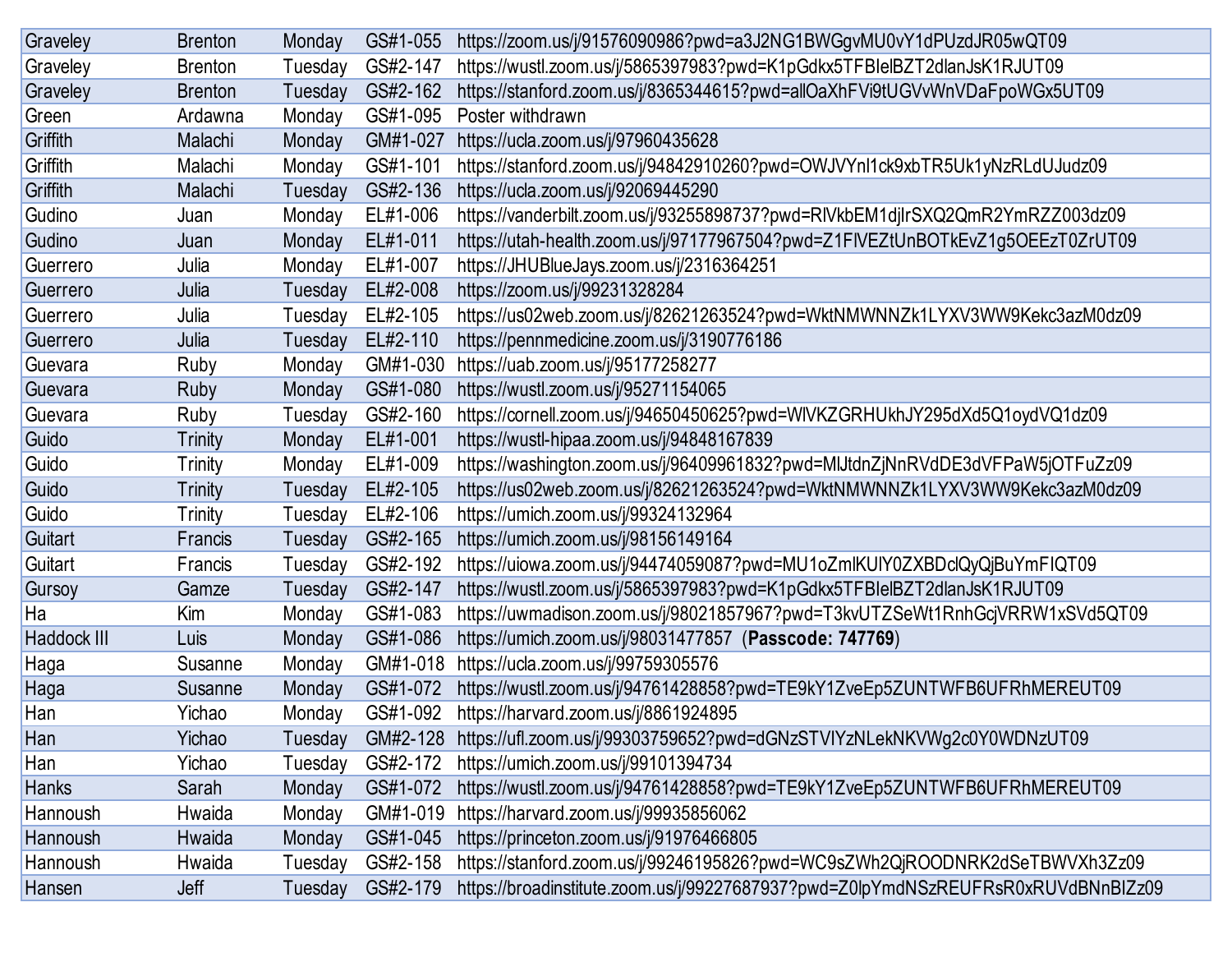| Graveley     | <b>Brenton</b> | Monday  | GS#1-055 | https://zoom.us/j/91576090986?pwd=a3J2NG1BWGgvMU0vY1dPUzdJR05wQT09                |
|--------------|----------------|---------|----------|-----------------------------------------------------------------------------------|
| Graveley     | <b>Brenton</b> | Tuesday | GS#2-147 | https://wustl.zoom.us/j/5865397983?pwd=K1pGdkx5TFBIelBZT2dlanJsK1RJUT09           |
| Graveley     | <b>Brenton</b> | Tuesday | GS#2-162 | https://stanford.zoom.us/j/8365344615?pwd=allOaXhFVi9tUGVvWnVDaFpoWGx5UT09        |
| Green        | Ardawna        | Monday  | GS#1-095 | Poster withdrawn                                                                  |
| Griffith     | Malachi        | Monday  | GM#1-027 | https://ucla.zoom.us/j/97960435628                                                |
| Griffith     | Malachi        | Monday  | GS#1-101 | https://stanford.zoom.us/j/94842910260?pwd=OWJVYnl1ck9xbTR5Uk1yNzRLdUJudz09       |
| Griffith     | Malachi        | Tuesday | GS#2-136 | https://ucla.zoom.us/j/92069445290                                                |
| Gudino       | Juan           | Monday  | EL#1-006 | https://vanderbilt.zoom.us/j/93255898737?pwd=RIVkbEM1djlrSXQ2QmR2YmRZZ003dz09     |
| Gudino       | Juan           | Monday  | EL#1-011 | https://utah-health.zoom.us/j/97177967504?pwd=Z1FIVEZtUnBOTkEvZ1g5OEEzT0ZrUT09    |
| Guerrero     | Julia          | Monday  | EL#1-007 | https://JHUBlueJays.zoom.us/j/2316364251                                          |
| Guerrero     | Julia          | Tuesday | EL#2-008 | https://zoom.us/j/99231328284                                                     |
| Guerrero     | Julia          | Tuesday | EL#2-105 | https://us02web.zoom.us/j/82621263524?pwd=WktNMWNNZk1LYXV3WW9Kekc3azM0dz09        |
| Guerrero     | Julia          | Tuesday | EL#2-110 | https://pennmedicine.zoom.us/j/3190776186                                         |
| Guevara      | Ruby           | Monday  | GM#1-030 | https://uab.zoom.us/j/95177258277                                                 |
| Guevara      | <b>Ruby</b>    | Monday  | GS#1-080 | https://wustl.zoom.us/j/95271154065                                               |
| Guevara      | Ruby           | Tuesday | GS#2-160 | https://cornell.zoom.us/j/94650450625?pwd=WIVKZGRHUkhJY295dXd5Q1oydVQ1dz09        |
| Guido        | <b>Trinity</b> | Monday  | EL#1-001 | https://wustl-hipaa.zoom.us/j/94848167839                                         |
| Guido        | <b>Trinity</b> | Monday  | EL#1-009 | https://washington.zoom.us/j/96409961832?pwd=MIJtdnZjNnRVdDE3dVFPaW5jOTFuZz09     |
| Guido        | <b>Trinity</b> | Tuesday | EL#2-105 | https://us02web.zoom.us/j/82621263524?pwd=WktNMWNNZk1LYXV3WW9Kekc3azM0dz09        |
| Guido        | <b>Trinity</b> | Tuesday | EL#2-106 | https://umich.zoom.us/j/99324132964                                               |
| Guitart      | Francis        | Tuesday | GS#2-165 | https://umich.zoom.us/j/98156149164                                               |
| Guitart      | Francis        | Tuesday | GS#2-192 | https://uiowa.zoom.us/j/94474059087?pwd=MU1oZmlKUIY0ZXBDclQyQjBuYmFIQT09          |
| Gursoy       | Gamze          | Tuesday | GS#2-147 | https://wustl.zoom.us/j/5865397983?pwd=K1pGdkx5TFBIelBZT2dlanJsK1RJUT09           |
| Ha           | Kim            | Monday  | GS#1-083 | https://uwmadison.zoom.us/j/98021857967?pwd=T3kvUTZSeWt1RnhGcjVRRW1xSVd5QT09      |
| Haddock III  | Luis           | Monday  | GS#1-086 | https://umich.zoom.us/j/98031477857 (Passcode: 747769)                            |
| Haga         | Susanne        | Monday  | GM#1-018 | https://ucla.zoom.us/j/99759305576                                                |
| Haga         | Susanne        | Monday  | GS#1-072 | https://wustl.zoom.us/j/94761428858?pwd=TE9kY1ZveEp5ZUNTWFB6UFRhMEREUT09          |
| Han          | Yichao         | Monday  | GS#1-092 | https://harvard.zoom.us/j/8861924895                                              |
| Han          | Yichao         | Tuesday | GM#2-128 | https://ufl.zoom.us/j/99303759652?pwd=dGNzSTVIYzNLekNKVWg2c0Y0WDNzUT09            |
| Han          | Yichao         | Tuesday | GS#2-172 | https://umich.zoom.us/j/99101394734                                               |
| <b>Hanks</b> | Sarah          | Monday  | GS#1-072 | https://wustl.zoom.us/j/94761428858?pwd=TE9kY1ZveEp5ZUNTWFB6UFRhMEREUT09          |
| Hannoush     | Hwaida         | Monday  | GM#1-019 | https://harvard.zoom.us/j/99935856062                                             |
| Hannoush     | Hwaida         | Monday  | GS#1-045 | https://princeton.zoom.us/j/91976466805                                           |
| Hannoush     | Hwaida         | Tuesday | GS#2-158 | https://stanford.zoom.us/j/99246195826?pwd=WC9sZWh2QjROODNRK2dSeTBWVXh3Zz09       |
| Hansen       | Jeff           | Tuesday | GS#2-179 | https://broadinstitute.zoom.us/j/99227687937?pwd=Z0lpYmdNSzREUFRsR0xRUVdBNnBIZz09 |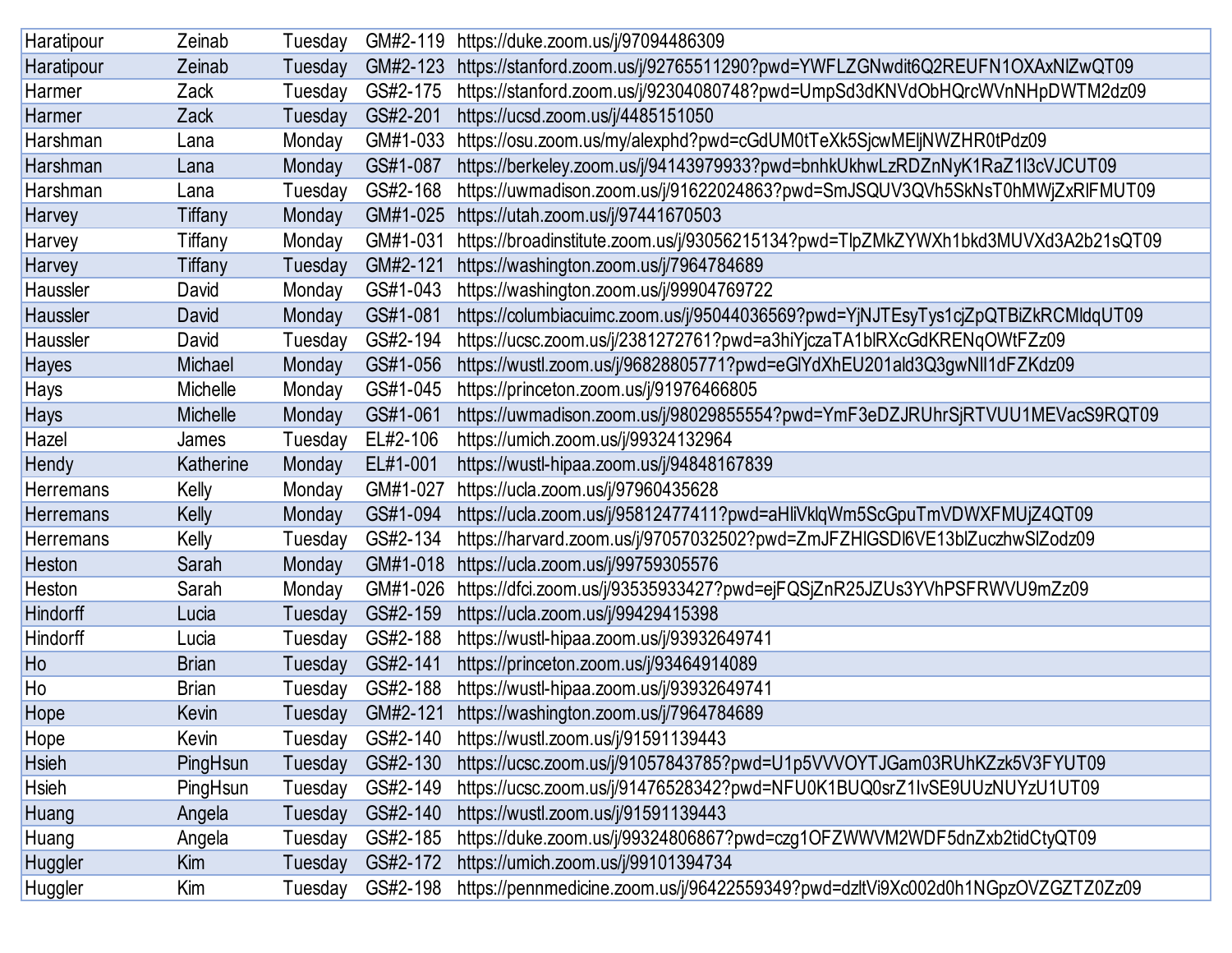| Haratipour       | Zeinab       | Tuesday | GM#2-119 | https://duke.zoom.us/j/97094486309                                                |
|------------------|--------------|---------|----------|-----------------------------------------------------------------------------------|
| Haratipour       | Zeinab       | Tuesday | GM#2-123 | https://stanford.zoom.us/j/92765511290?pwd=YWFLZGNwdit6Q2REUFN1OXAxNIZwQT09       |
| Harmer           | Zack         | Tuesday | GS#2-175 | https://stanford.zoom.us/j/92304080748?pwd=UmpSd3dKNVdObHQrcWVnNHpDWTM2dz09       |
| Harmer           | Zack         | Tuesday | GS#2-201 | https://ucsd.zoom.us/j/4485151050                                                 |
| Harshman         | Lana         | Monday  | GM#1-033 | https://osu.zoom.us/my/alexphd?pwd=cGdUM0tTeXk5SjcwMEljNWZHR0tPdz09               |
| Harshman         | Lana         | Monday  | GS#1-087 | https://berkeley.zoom.us/j/94143979933?pwd=bnhkUkhwLzRDZnNyK1RaZ1l3cVJCUT09       |
| Harshman         | Lana         | Tuesday | GS#2-168 | https://uwmadison.zoom.us/j/91622024863?pwd=SmJSQUV3QVh5SkNsT0hMWjZxRlFMUT09      |
| Harvey           | Tiffany      | Monday  | GM#1-025 | https://utah.zoom.us/j/97441670503                                                |
| Harvey           | Tiffany      | Monday  | GM#1-031 | https://broadinstitute.zoom.us/j/93056215134?pwd=TlpZMkZYWXh1bkd3MUVXd3A2b21sQT09 |
| Harvey           | Tiffany      | Tuesday | GM#2-121 | https://washington.zoom.us/j/7964784689                                           |
| Haussler         | David        | Monday  | GS#1-043 | https://washington.zoom.us/j/99904769722                                          |
| Haussler         | David        | Monday  | GS#1-081 | https://columbiacuimc.zoom.us/j/95044036569?pwd=YjNJTEsyTys1cjZpQTBiZkRCMldqUT09  |
| Haussler         | David        | Tuesday | GS#2-194 | https://ucsc.zoom.us/j/2381272761?pwd=a3hiYjczaTA1blRXcGdKRENqOWtFZz09            |
| Hayes            | Michael      | Monday  | GS#1-056 | https://wustl.zoom.us/j/96828805771?pwd=eGlYdXhEU201ald3Q3gwNll1dFZKdz09          |
| Hays             | Michelle     | Monday  | GS#1-045 | https://princeton.zoom.us/j/91976466805                                           |
| <b>Hays</b>      | Michelle     | Monday  | GS#1-061 | https://uwmadison.zoom.us/j/98029855554?pwd=YmF3eDZJRUhrSjRTVUU1MEVacS9RQT09      |
| Hazel            | James        | Tuesday | EL#2-106 | https://umich.zoom.us/j/99324132964                                               |
| Hendy            | Katherine    | Monday  | EL#1-001 | https://wustl-hipaa.zoom.us/j/94848167839                                         |
| <b>Herremans</b> | Kelly        | Monday  | GM#1-027 | https://ucla.zoom.us/j/97960435628                                                |
| <b>Herremans</b> | Kelly        | Monday  | GS#1-094 | https://ucla.zoom.us/j/95812477411?pwd=aHliVklqWm5ScGpuTmVDWXFMUjZ4QT09           |
| Herremans        | Kelly        | Tuesday | GS#2-134 | https://harvard.zoom.us/j/97057032502?pwd=ZmJFZHIGSDI6VE13blZuczhwSlZodz09        |
| Heston           | Sarah        | Monday  | GM#1-018 | https://ucla.zoom.us/j/99759305576                                                |
| Heston           | Sarah        | Monday  | GM#1-026 | https://dfci.zoom.us/j/93535933427?pwd=ejFQSjZnR25JZUs3YVhPSFRWVU9mZz09           |
| Hindorff         | Lucia        | Tuesday | GS#2-159 | https://ucla.zoom.us/j/99429415398                                                |
| Hindorff         | Lucia        | Tuesday | GS#2-188 | https://wustl-hipaa.zoom.us/j/93932649741                                         |
| Ho               | <b>Brian</b> | Tuesday | GS#2-141 | https://princeton.zoom.us/j/93464914089                                           |
| Ho               | <b>Brian</b> | Tuesday | GS#2-188 | https://wustl-hipaa.zoom.us/j/93932649741                                         |
| Hope             | Kevin        | Tuesday | GM#2-121 | https://washington.zoom.us/j/7964784689                                           |
| Hope             | Kevin        | Tuesday | GS#2-140 | https://wustl.zoom.us/j/91591139443                                               |
| <b>Hsieh</b>     | PingHsun     | Tuesday | GS#2-130 | https://ucsc.zoom.us/j/91057843785?pwd=U1p5VVVOYTJGam03RUhKZzk5V3FYUT09           |
| <b>Hsieh</b>     | PingHsun     | Tuesday | GS#2-149 | https://ucsc.zoom.us/j/91476528342?pwd=NFU0K1BUQ0srZ1IvSE9UUzNUYzU1UT09           |
| Huang            | Angela       | Tuesday | GS#2-140 | https://wustl.zoom.us/j/91591139443                                               |
| Huang            | Angela       | Tuesday | GS#2-185 | https://duke.zoom.us/j/99324806867?pwd=czg1OFZWWVM2WDF5dnZxb2tidCtyQT09           |
| Huggler          | Kim          | Tuesday | GS#2-172 | https://umich.zoom.us/j/99101394734                                               |
| Huggler          | Kim          | Tuesday | GS#2-198 | https://pennmedicine.zoom.us/j/96422559349?pwd=dzltVi9Xc002d0h1NGpzOVZGZTZ0Zz09   |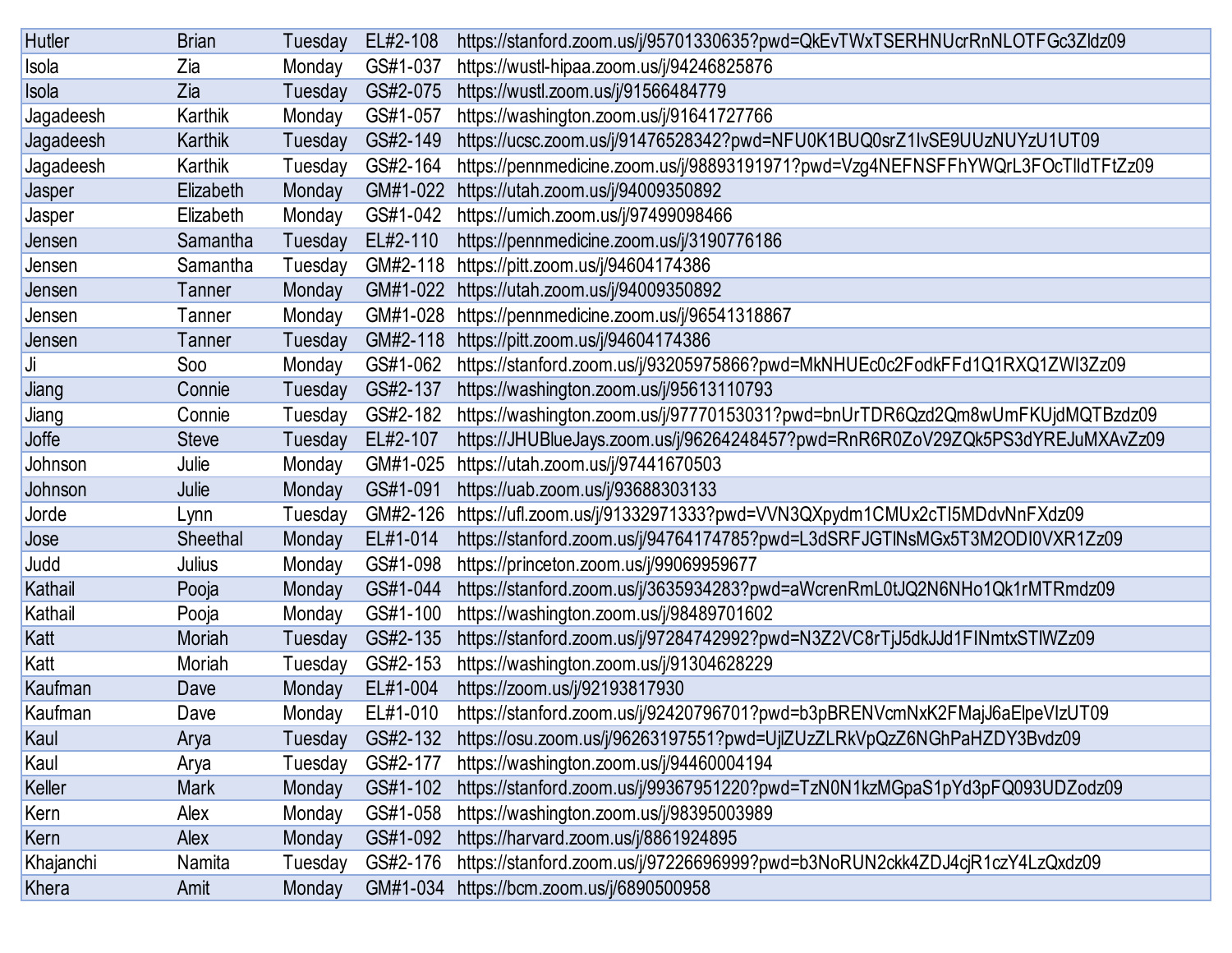| <b>Hutler</b> | <b>Brian</b>  | Tuesday | EL#2-108 | https://stanford.zoom.us/j/95701330635?pwd=QkEvTWxTSERHNUcrRnNLOTFGc3Zldz09     |
|---------------|---------------|---------|----------|---------------------------------------------------------------------------------|
| Isola         | Zia           | Monday  | GS#1-037 | https://wustl-hipaa.zoom.us/j/94246825876                                       |
| Isola         | Zia           | Tuesday | GS#2-075 | https://wustl.zoom.us/j/91566484779                                             |
| Jagadeesh     | Karthik       | Monday  | GS#1-057 | https://washington.zoom.us/j/91641727766                                        |
| Jagadeesh     | Karthik       | Tuesday | GS#2-149 | https://ucsc.zoom.us/j/91476528342?pwd=NFU0K1BUQ0srZ1lvSE9UUzNUYzU1UT09         |
| Jagadeesh     | Karthik       | Tuesday | GS#2-164 | https://pennmedicine.zoom.us/j/98893191971?pwd=Vzg4NEFNSFFhYWQrL3FOcTlldTFtZz09 |
| Jasper        | Elizabeth     | Monday  | GM#1-022 | https://utah.zoom.us/j/94009350892                                              |
| Jasper        | Elizabeth     | Monday  | GS#1-042 | https://umich.zoom.us/j/97499098466                                             |
| Jensen        | Samantha      | Tuesday | EL#2-110 | https://pennmedicine.zoom.us/j/3190776186                                       |
| Jensen        | Samantha      | Tuesday | GM#2-118 | https://pitt.zoom.us/j/94604174386                                              |
| Jensen        | Tanner        | Monday  | GM#1-022 | https://utah.zoom.us/j/94009350892                                              |
| Jensen        | Tanner        | Monday  | GM#1-028 | https://pennmedicine.zoom.us/j/96541318867                                      |
| Jensen        | <b>Tanner</b> | Tuesday | GM#2-118 | https://pitt.zoom.us/j/94604174386                                              |
| Ji            | <b>Soo</b>    | Monday  | GS#1-062 | https://stanford.zoom.us/j/93205975866?pwd=MkNHUEc0c2FodkFFd1Q1RXQ1ZWI3Zz09     |
| Jiang         | Connie        | Tuesday | GS#2-137 | https://washington.zoom.us/j/95613110793                                        |
| Jiang         | Connie        | Tuesday | GS#2-182 | https://washington.zoom.us/j/97770153031?pwd=bnUrTDR6Qzd2Qm8wUmFKUjdMQTBzdz09   |
| Joffe         | <b>Steve</b>  | Tuesday | EL#2-107 | https://JHUBlueJays.zoom.us/j/96264248457?pwd=RnR6R0ZoV29ZQk5PS3dYREJuMXAvZz09  |
| Johnson       | Julie         | Monday  | GM#1-025 | https://utah.zoom.us/j/97441670503                                              |
| Johnson       | Julie         | Monday  | GS#1-091 | https://uab.zoom.us/j/93688303133                                               |
| Jorde         | Lynn          | Tuesday | GM#2-126 | https://ufl.zoom.us/j/91332971333?pwd=VVN3QXpydm1CMUx2cTI5MDdvNnFXdz09          |
| Jose          | Sheethal      | Monday  | EL#1-014 | https://stanford.zoom.us/j/94764174785?pwd=L3dSRFJGTINsMGx5T3M2ODI0VXR1Zz09     |
| Judd          | Julius        | Monday  | GS#1-098 | https://princeton.zoom.us/j/99069959677                                         |
| Kathail       | Pooja         | Monday  | GS#1-044 | https://stanford.zoom.us/j/3635934283?pwd=aWcrenRmL0tJQ2N6NHo1Qk1rMTRmdz09      |
| Kathail       | Pooja         | Monday  | GS#1-100 | https://washington.zoom.us/j/98489701602                                        |
| Katt          | Moriah        | Tuesday | GS#2-135 | https://stanford.zoom.us/j/97284742992?pwd=N3Z2VC8rTjJ5dkJJd1FINmtxSTIWZz09     |
| Katt          | Moriah        | Tuesday | GS#2-153 | https://washington.zoom.us/j/91304628229                                        |
| Kaufman       | Dave          | Monday  | EL#1-004 | https://zoom.us/j/92193817930                                                   |
| Kaufman       | Dave          | Monday  | EL#1-010 | https://stanford.zoom.us/j/92420796701?pwd=b3pBRENVcmNxK2FMajJ6aElpeVIzUT09     |
| Kaul          | Arya          | Tuesday | GS#2-132 | https://osu.zoom.us/j/96263197551?pwd=UjlZUzZLRkVpQzZ6NGhPaHZDY3Bvdz09          |
| Kaul          | Arya          | Tuesday | GS#2-177 | https://washington.zoom.us/j/94460004194                                        |
| Keller        | <b>Mark</b>   | Monday  | GS#1-102 | https://stanford.zoom.us/j/99367951220?pwd=TzN0N1kzMGpaS1pYd3pFQ093UDZodz09     |
| Kern          | Alex          | Monday  | GS#1-058 | https://washington.zoom.us/j/98395003989                                        |
| Kern          | Alex          | Monday  | GS#1-092 | https://harvard.zoom.us/j/8861924895                                            |
| Khajanchi     | Namita        | Tuesday | GS#2-176 | https://stanford.zoom.us/j/97226696999?pwd=b3NoRUN2ckk4ZDJ4cjR1czY4LzQxdz09     |
| Khera         | Amit          | Monday  | GM#1-034 | https://bcm.zoom.us/j/6890500958                                                |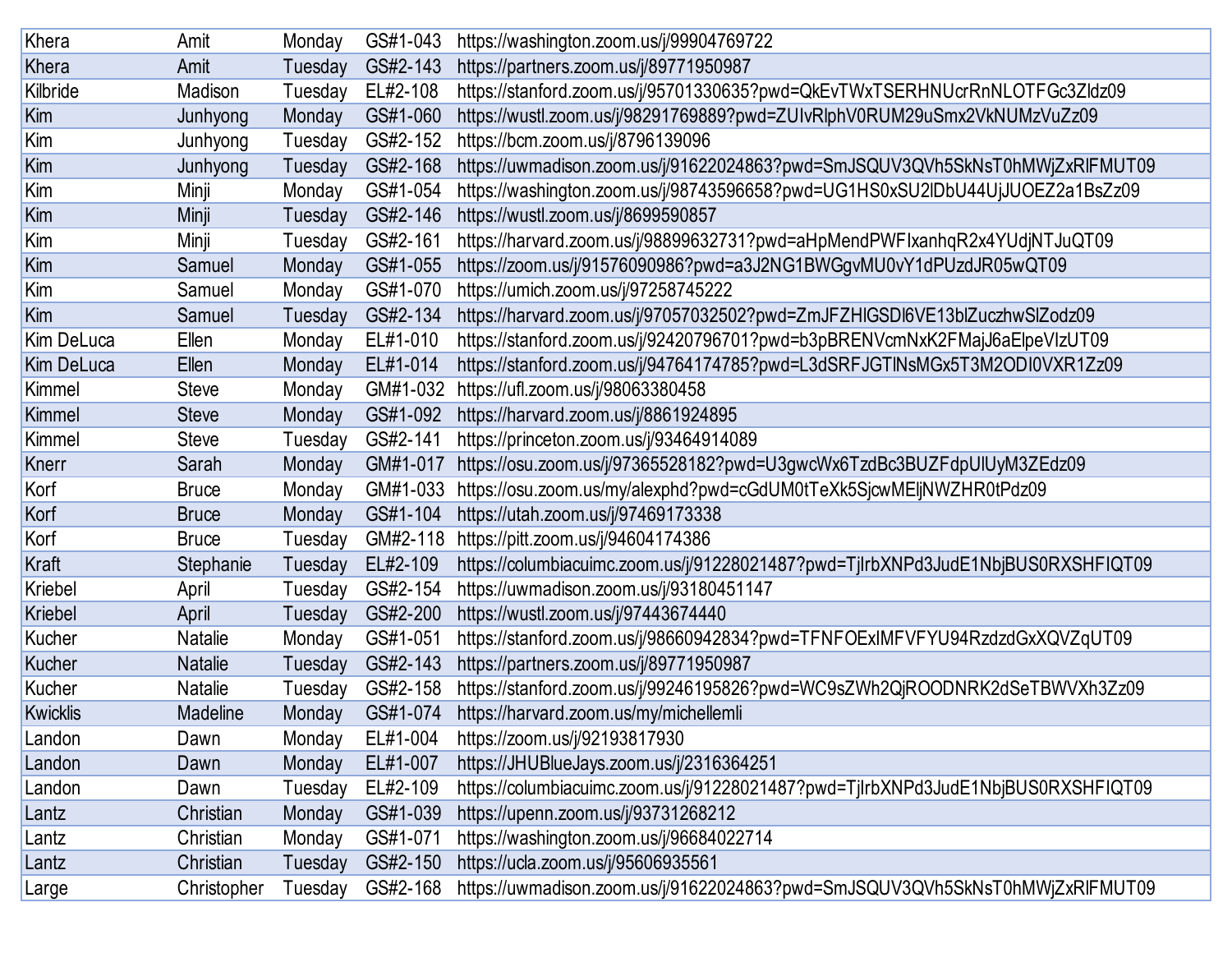| Khera           | Amit            | Monday  | GS#1-043 | https://washington.zoom.us/j/99904769722                                         |
|-----------------|-----------------|---------|----------|----------------------------------------------------------------------------------|
| Khera           | Amit            | Tuesday | GS#2-143 | https://partners.zoom.us/j/89771950987                                           |
| Kilbride        | Madison         | Tuesday | EL#2-108 | https://stanford.zoom.us/j/95701330635?pwd=QkEvTWxTSERHNUcrRnNLOTFGc3Zldz09      |
| Kim             | Junhyong        | Monday  | GS#1-060 | https://wustl.zoom.us/j/98291769889?pwd=ZUIvRlphV0RUM29uSmx2VkNUMzVuZz09         |
| Kim             | Junhyong        | Tuesday | GS#2-152 | https://bcm.zoom.us/j/8796139096                                                 |
| Kim             | Junhyong        | Tuesday | GS#2-168 | https://uwmadison.zoom.us/j/91622024863?pwd=SmJSQUV3QVh5SkNsT0hMWjZxRlFMUT09     |
| Kim             | Minji           | Monday  | GS#1-054 | https://washington.zoom.us/j/98743596658?pwd=UG1HS0xSU2IDbU44UjJUOEZ2a1BsZz09    |
| Kim             | Minji           | Tuesday | GS#2-146 | https://wustl.zoom.us/j/8699590857                                               |
| Kim             | Minji           | Tuesday | GS#2-161 | https://harvard.zoom.us/j/98899632731?pwd=aHpMendPWFIxanhqR2x4YUdjNTJuQT09       |
| Kim             | Samuel          | Monday  | GS#1-055 | https://zoom.us/j/91576090986?pwd=a3J2NG1BWGgvMU0vY1dPUzdJR05wQT09               |
| Kim             | Samuel          | Monday  | GS#1-070 | https://umich.zoom.us/j/97258745222                                              |
| Kim             | Samuel          | Tuesday | GS#2-134 | https://harvard.zoom.us/j/97057032502?pwd=ZmJFZHIGSDI6VE13blZuczhwSlZodz09       |
| Kim DeLuca      | Ellen           | Monday  | EL#1-010 | https://stanford.zoom.us/j/92420796701?pwd=b3pBRENVcmNxK2FMajJ6aElpeVIzUT09      |
| Kim DeLuca      | Ellen           | Monday  | EL#1-014 | https://stanford.zoom.us/j/94764174785?pwd=L3dSRFJGTINsMGx5T3M2ODI0VXR1Zz09      |
| Kimmel          | <b>Steve</b>    | Monday  | GM#1-032 | https://ufl.zoom.us/j/98063380458                                                |
| Kimmel          | <b>Steve</b>    | Monday  | GS#1-092 | https://harvard.zoom.us/j/8861924895                                             |
| Kimmel          | <b>Steve</b>    | Tuesday | GS#2-141 | https://princeton.zoom.us/j/93464914089                                          |
| Knerr           | Sarah           | Monday  | GM#1-017 | https://osu.zoom.us/j/97365528182?pwd=U3gwcWx6TzdBc3BUZFdpUlUyM3ZEdz09           |
| Korf            | <b>Bruce</b>    | Monday  | GM#1-033 | https://osu.zoom.us/my/alexphd?pwd=cGdUM0tTeXk5SjcwMEljNWZHR0tPdz09              |
| Korf            | <b>Bruce</b>    | Monday  | GS#1-104 | https://utah.zoom.us/j/97469173338                                               |
| Korf            | <b>Bruce</b>    | Tuesday | GM#2-118 | https://pitt.zoom.us/j/94604174386                                               |
| Kraft           | Stephanie       | Tuesday | EL#2-109 | https://columbiacuimc.zoom.us/j/91228021487?pwd=TjlrbXNPd3JudE1NbjBUS0RXSHFIQT09 |
| Kriebel         | April           | Tuesday | GS#2-154 | https://uwmadison.zoom.us/j/93180451147                                          |
| <b>Kriebel</b>  | April           | Tuesday | GS#2-200 | https://wustl.zoom.us/j/97443674440                                              |
| Kucher          | Natalie         | Monday  | GS#1-051 | https://stanford.zoom.us/j/98660942834?pwd=TFNFOExIMFVFYU94RzdzdGxXQVZqUT09      |
| Kucher          | <b>Natalie</b>  | Tuesday | GS#2-143 | https://partners.zoom.us/j/89771950987                                           |
| Kucher          | Natalie         | Tuesday | GS#2-158 | https://stanford.zoom.us/j/99246195826?pwd=WC9sZWh2QjROODNRK2dSeTBWVXh3Zz09      |
| <b>Kwicklis</b> | <b>Madeline</b> | Monday  | GS#1-074 | https://harvard.zoom.us/my/michellemli                                           |
| Landon          | Dawn            | Monday  | EL#1-004 | https://zoom.us/j/92193817930                                                    |
| Landon          | Dawn            | Monday  | EL#1-007 | https://JHUBlueJays.zoom.us/j/2316364251                                         |
| Landon          | Dawn            | Tuesday | EL#2-109 | https://columbiacuimc.zoom.us/j/91228021487?pwd=TjlrbXNPd3JudE1NbjBUS0RXSHFIQT09 |
| Lantz           | Christian       | Monday  | GS#1-039 | https://upenn.zoom.us/j/93731268212                                              |
| Lantz           | Christian       | Monday  | GS#1-071 | https://washington.zoom.us/j/96684022714                                         |
| Lantz           | Christian       | Tuesday | GS#2-150 | https://ucla.zoom.us/j/95606935561                                               |
| Large           | Christopher     | Tuesday | GS#2-168 | https://uwmadison.zoom.us/j/91622024863?pwd=SmJSQUV3QVh5SkNsT0hMWjZxRIFMUT09     |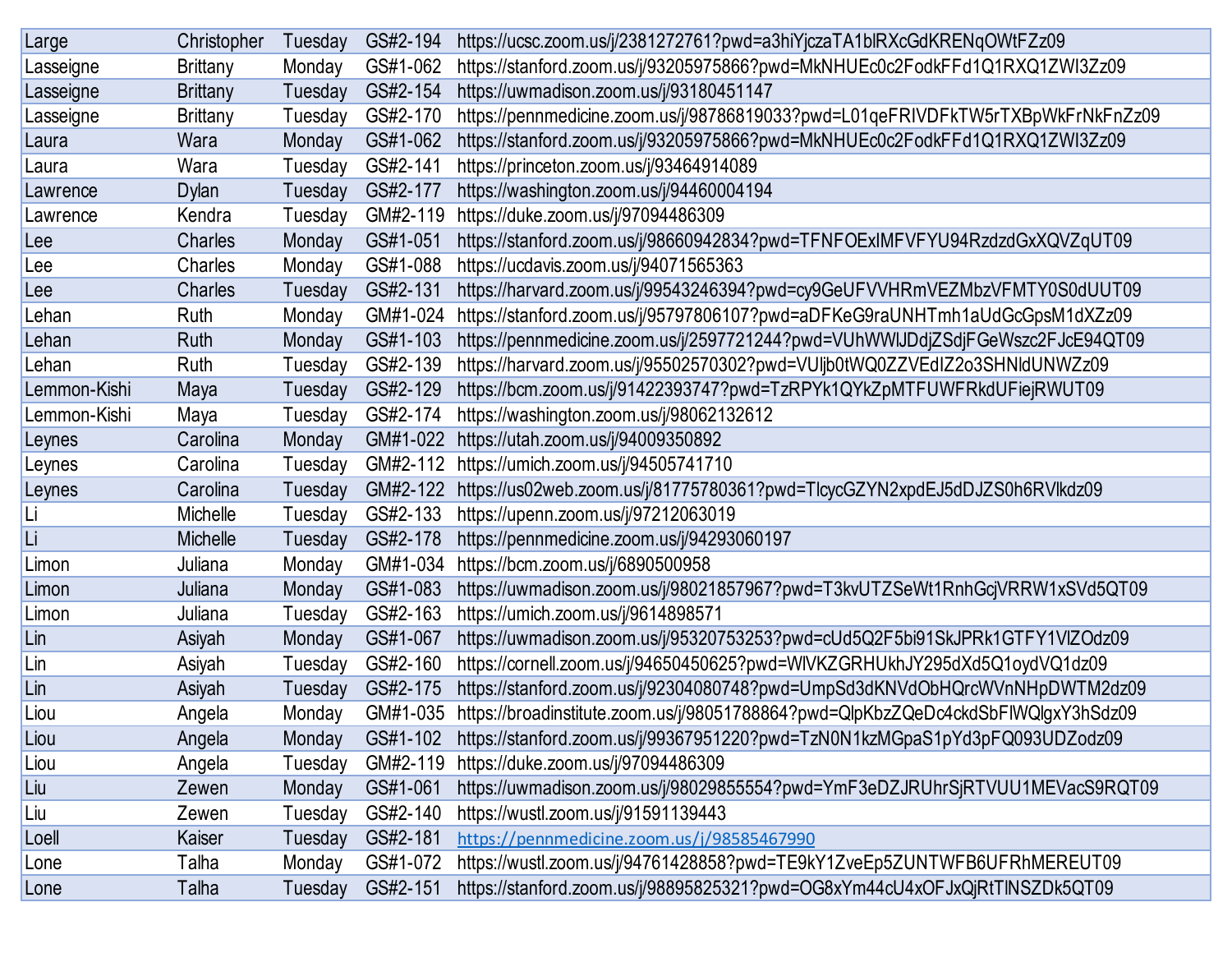| Large        | Christopher     | Tuesday | GS#2-194 | https://ucsc.zoom.us/j/2381272761?pwd=a3hiYjczaTA1blRXcGdKRENqOWtFZz09            |
|--------------|-----------------|---------|----------|-----------------------------------------------------------------------------------|
| Lasseigne    | <b>Brittany</b> | Monday  | GS#1-062 | https://stanford.zoom.us/j/93205975866?pwd=MkNHUEc0c2FodkFFd1Q1RXQ1ZWI3Zz09       |
| Lasseigne    | <b>Brittany</b> | Tuesday | GS#2-154 | https://uwmadison.zoom.us/j/93180451147                                           |
| Lasseigne    | <b>Brittany</b> | Tuesday | GS#2-170 | https://pennmedicine.zoom.us/j/98786819033?pwd=L01qeFRIVDFkTW5rTXBpWkFrNkFnZz09   |
| Laura        | Wara            | Monday  | GS#1-062 | https://stanford.zoom.us/j/93205975866?pwd=MkNHUEc0c2FodkFFd1Q1RXQ1ZWI3Zz09       |
| Laura        | Wara            | Tuesday | GS#2-141 | https://princeton.zoom.us/j/93464914089                                           |
| Lawrence     | <b>Dylan</b>    | Tuesday | GS#2-177 | https://washington.zoom.us/j/94460004194                                          |
| Lawrence     | Kendra          | Tuesday | GM#2-119 | https://duke.zoom.us/j/97094486309                                                |
| Lee          | Charles         | Monday  | GS#1-051 | https://stanford.zoom.us/j/98660942834?pwd=TFNFOExIMFVFYU94RzdzdGxXQVZqUT09       |
| $e$ ee       | Charles         | Monday  | GS#1-088 | https://ucdavis.zoom.us/j/94071565363                                             |
| Lee          | Charles         | Tuesday | GS#2-131 | https://harvard.zoom.us/j/99543246394?pwd=cy9GeUFVVHRmVEZMbzVFMTY0S0dUUT09        |
| Lehan        | Ruth            | Monday  | GM#1-024 | https://stanford.zoom.us/j/95797806107?pwd=aDFKeG9raUNHTmh1aUdGcGpsM1dXZz09       |
| Lehan        | Ruth            | Monday  | GS#1-103 | https://pennmedicine.zoom.us/j/2597721244?pwd=VUhWWIJDdjZSdjFGeWszc2FJcE94QT09    |
| Lehan        | Ruth            | Tuesday | GS#2-139 | https://harvard.zoom.us/j/95502570302?pwd=VUIjb0tWQ0ZZVEdIZ2o3SHNIdUNWZz09        |
| Lemmon-Kishi | Maya            | Tuesday | GS#2-129 | https://bcm.zoom.us/j/91422393747?pwd=TzRPYk1QYkZpMTFUWFRkdUFiejRWUT09            |
| Lemmon-Kishi | Maya            | Tuesday | GS#2-174 | https://washington.zoom.us/j/98062132612                                          |
| Leynes       | Carolina        | Monday  | GM#1-022 | https://utah.zoom.us/j/94009350892                                                |
| Leynes       | Carolina        | Tuesday | GM#2-112 | https://umich.zoom.us/j/94505741710                                               |
| Leynes       | Carolina        | Tuesday | GM#2-122 | https://us02web.zoom.us/j/81775780361?pwd=TlcycGZYN2xpdEJ5dDJZS0h6RVlkdz09        |
| Li           | Michelle        | Tuesday | GS#2-133 | https://upenn.zoom.us/j/97212063019                                               |
| Li           | Michelle        | Tuesday | GS#2-178 | https://pennmedicine.zoom.us/j/94293060197                                        |
| Limon        | Juliana         | Monday  | GM#1-034 | https://bcm.zoom.us/j/6890500958                                                  |
| Limon        | Juliana         | Monday  | GS#1-083 | https://uwmadison.zoom.us/j/98021857967?pwd=T3kvUTZSeWt1RnhGcjVRRW1xSVd5QT09      |
| Limon        | Juliana         | Tuesday | GS#2-163 | https://umich.zoom.us/j/9614898571                                                |
| Lin          | Asiyah          | Monday  | GS#1-067 | https://uwmadison.zoom.us/j/95320753253?pwd=cUd5Q2F5bi91SkJPRk1GTFY1VIZOdz09      |
| Lin          | Asiyah          | Tuesday | GS#2-160 | https://cornell.zoom.us/j/94650450625?pwd=WIVKZGRHUkhJY295dXd5Q1oydVQ1dz09        |
| Lin          | Asiyah          | Tuesday | GS#2-175 | https://stanford.zoom.us/j/92304080748?pwd=UmpSd3dKNVdObHQrcWVnNHpDWTM2dz09       |
| Liou         | Angela          | Monday  | GM#1-035 | https://broadinstitute.zoom.us/j/98051788864?pwd=QlpKbzZQeDc4ckdSbFIWQlgxY3hSdz09 |
| Liou         | Angela          | Monday  | GS#1-102 | https://stanford.zoom.us/j/99367951220?pwd=TzN0N1kzMGpaS1pYd3pFQ093UDZodz09       |
| Liou         | Angela          | Tuesday | GM#2-119 | https://duke.zoom.us/j/97094486309                                                |
| Liu          | Zewen           | Monday  | GS#1-061 | https://uwmadison.zoom.us/j/98029855554?pwd=YmF3eDZJRUhrSjRTVUU1MEVacS9RQT09      |
| Liu          | Zewen           | Tuesday | GS#2-140 | https://wustl.zoom.us/j/91591139443                                               |
| Loell        | Kaiser          | Tuesday | GS#2-181 | https://pennmedicine.zoom.us/j/98585467990                                        |
| Lone         | Talha           | Monday  | GS#1-072 | https://wustl.zoom.us/j/94761428858?pwd=TE9kY1ZveEp5ZUNTWFB6UFRhMEREUT09          |
| Lone         | Talha           | Tuesday | GS#2-151 | https://stanford.zoom.us/j/98895825321?pwd=OG8xYm44cU4xOFJxQjRtTINSZDk5QT09       |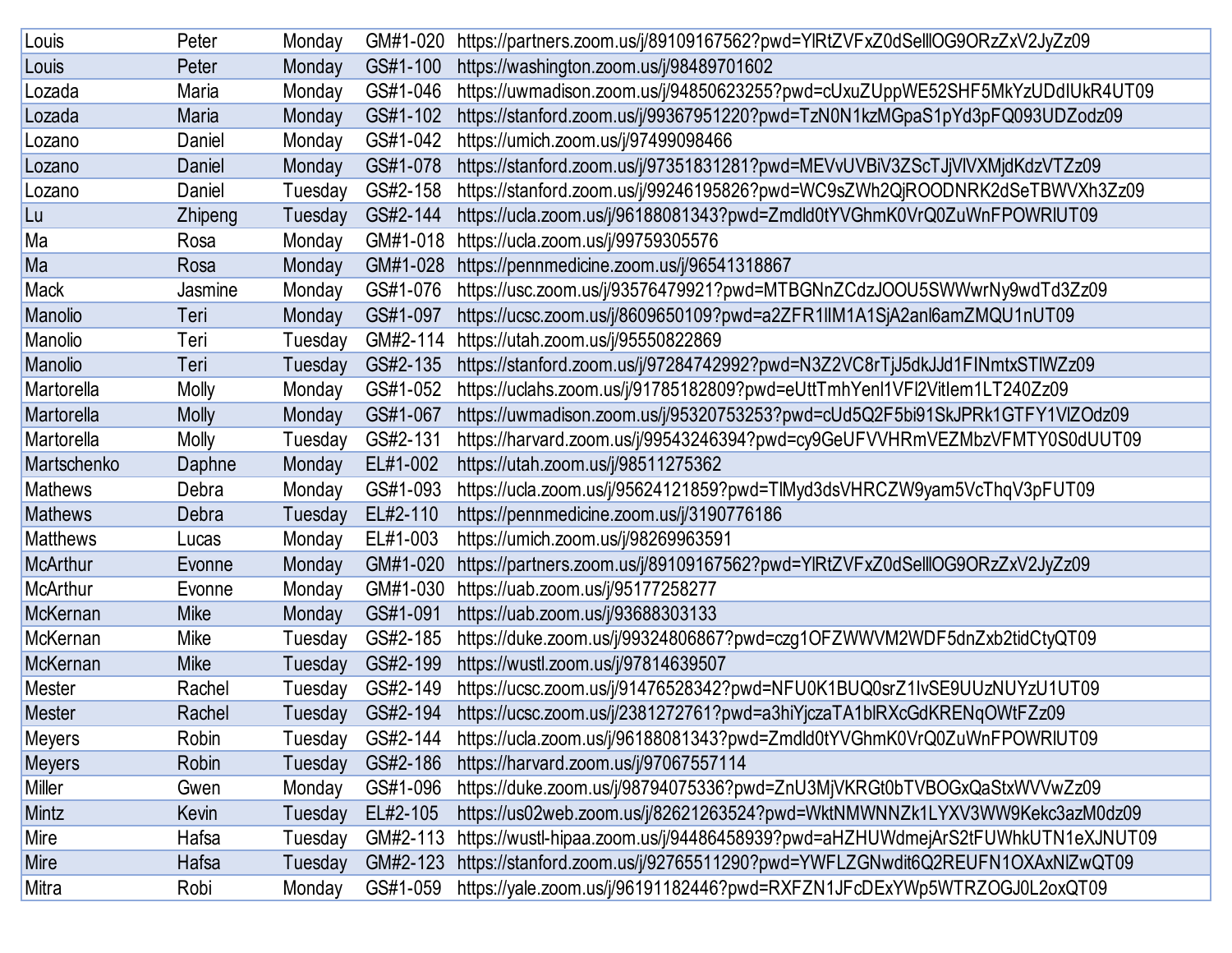| Louis           | Peter        | Monday  | GM#1-020 | https://partners.zoom.us/j/89109167562?pwd=YIRtZVFxZ0dSellIOG9ORzZxV2JyZz09    |
|-----------------|--------------|---------|----------|--------------------------------------------------------------------------------|
| Louis           | Peter        | Monday  | GS#1-100 | https://washington.zoom.us/j/98489701602                                       |
| Lozada          | Maria        | Monday  | GS#1-046 | https://uwmadison.zoom.us/j/94850623255?pwd=cUxuZUppWE52SHF5MkYzUDdIUkR4UT09   |
| Lozada          | Maria        | Monday  | GS#1-102 | https://stanford.zoom.us/j/99367951220?pwd=TzN0N1kzMGpaS1pYd3pFQ093UDZodz09    |
| Lozano          | Daniel       | Monday  | GS#1-042 | https://umich.zoom.us/j/97499098466                                            |
| Lozano          | Daniel       | Monday  | GS#1-078 | https://stanford.zoom.us/j/97351831281?pwd=MEVvUVBiV3ZScTJjVIVXMjdKdzVTZz09    |
| Lozano          | Daniel       | Tuesday | GS#2-158 | https://stanford.zoom.us/j/99246195826?pwd=WC9sZWh2QjROODNRK2dSeTBWVXh3Zz09    |
| Lu              | Zhipeng      | Tuesday | GS#2-144 | https://ucla.zoom.us/j/96188081343?pwd=Zmdld0tYVGhmK0VrQ0ZuWnFPOWRIUT09        |
| Ma              | Rosa         | Monday  | GM#1-018 | https://ucla.zoom.us/j/99759305576                                             |
| Ma              | Rosa         | Monday  | GM#1-028 | https://pennmedicine.zoom.us/j/96541318867                                     |
| <b>Mack</b>     | Jasmine      | Monday  | GS#1-076 | https://usc.zoom.us/j/93576479921?pwd=MTBGNnZCdzJOOU5SWWwrNy9wdTd3Zz09         |
| Manolio         | Teri         | Monday  | GS#1-097 | https://ucsc.zoom.us/j/8609650109?pwd=a2ZFR1IIM1A1SjA2anl6amZMQU1nUT09         |
| Manolio         | Teri         | Tuesday | GM#2-114 | https://utah.zoom.us/j/95550822869                                             |
| Manolio         | Teri         | Tuesday | GS#2-135 | https://stanford.zoom.us/j/97284742992?pwd=N3Z2VC8rTjJ5dkJJd1FINmtxSTIWZz09    |
| Martorella      | <b>Molly</b> | Monday  | GS#1-052 | https://uclahs.zoom.us/j/91785182809?pwd=eUttTmhYenl1VFl2Vitlem1LT240Zz09      |
| Martorella      | <b>Molly</b> | Monday  | GS#1-067 | https://uwmadison.zoom.us/j/95320753253?pwd=cUd5Q2F5bi91SkJPRk1GTFY1VIZOdz09   |
| Martorella      | Molly        | Tuesday | GS#2-131 | https://harvard.zoom.us/j/99543246394?pwd=cy9GeUFVVHRmVEZMbzVFMTY0S0dUUT09     |
| Martschenko     | Daphne       | Monday  | EL#1-002 | https://utah.zoom.us/j/98511275362                                             |
| <b>Mathews</b>  | Debra        | Monday  | GS#1-093 | https://ucla.zoom.us/j/95624121859?pwd=TlMyd3dsVHRCZW9yam5VcThqV3pFUT09        |
| <b>Mathews</b>  | Debra        | Tuesday | EL#2-110 | https://pennmedicine.zoom.us/j/3190776186                                      |
| <b>Matthews</b> | Lucas        | Monday  | EL#1-003 | https://umich.zoom.us/j/98269963591                                            |
| <b>McArthur</b> | Evonne       | Monday  | GM#1-020 | https://partners.zoom.us/j/89109167562?pwd=YIRtZVFxZ0dSellIOG9ORzZxV2JyZz09    |
| McArthur        | Evonne       | Monday  | GM#1-030 | https://uab.zoom.us/j/95177258277                                              |
| McKernan        | <b>Mike</b>  | Monday  | GS#1-091 | https://uab.zoom.us/j/93688303133                                              |
| McKernan        | Mike         | Tuesday | GS#2-185 | https://duke.zoom.us/j/99324806867?pwd=czg1OFZWWVM2WDF5dnZxb2tidCtyQT09        |
| McKernan        | <b>Mike</b>  | Tuesday | GS#2-199 | https://wustl.zoom.us/j/97814639507                                            |
| <b>Mester</b>   | Rachel       | Tuesday | GS#2-149 | https://ucsc.zoom.us/j/91476528342?pwd=NFU0K1BUQ0srZ1IvSE9UUzNUYzU1UT09        |
| <b>Mester</b>   | Rachel       | Tuesday | GS#2-194 | https://ucsc.zoom.us/j/2381272761?pwd=a3hiYjczaTA1blRXcGdKRENqOWtFZz09         |
| Meyers          | Robin        | Tuesday | GS#2-144 | https://ucla.zoom.us/j/96188081343?pwd=Zmdld0tYVGhmK0VrQ0ZuWnFPOWRIUT09        |
| <b>Meyers</b>   | Robin        | Tuesday | GS#2-186 | https://harvard.zoom.us/j/97067557114                                          |
| Miller          | Gwen         | Monday  | GS#1-096 | https://duke.zoom.us/j/98794075336?pwd=ZnU3MjVKRGt0bTVBOGxQaStxWVVwZz09        |
| Mintz           | Kevin        | Tuesday | EL#2-105 | https://us02web.zoom.us/j/82621263524?pwd=WktNMWNNZk1LYXV3WW9Kekc3azM0dz09     |
| Mire            | Hafsa        | Tuesday | GM#2-113 | https://wustl-hipaa.zoom.us/j/94486458939?pwd=aHZHUWdmejArS2tFUWhkUTN1eXJNUT09 |
| Mire            | Hafsa        | Tuesday | GM#2-123 | https://stanford.zoom.us/j/92765511290?pwd=YWFLZGNwdit6Q2REUFN1OXAxNIZwQT09    |
| Mitra           | Robi         | Monday  | GS#1-059 | https://yale.zoom.us/j/96191182446?pwd=RXFZN1JFcDExYWp5WTRZOGJ0L2oxQT09        |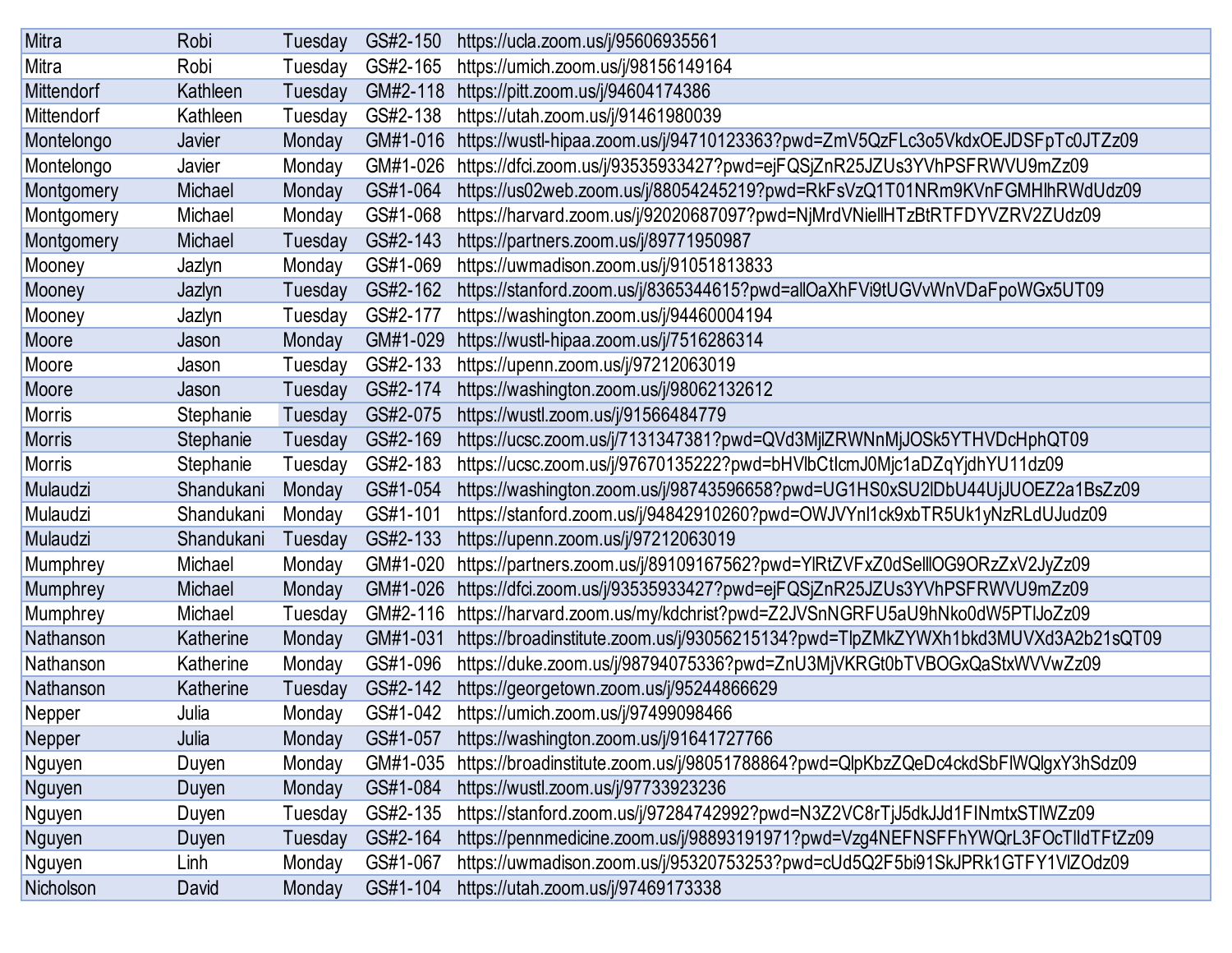| Mitra         | Robi       | Tuesday | GS#2-150 | https://ucla.zoom.us/j/95606935561                                                |
|---------------|------------|---------|----------|-----------------------------------------------------------------------------------|
| Mitra         | Robi       | Tuesday | GS#2-165 | https://umich.zoom.us/j/98156149164                                               |
| Mittendorf    | Kathleen   | Tuesday | GM#2-118 | https://pitt.zoom.us/j/94604174386                                                |
| Mittendorf    | Kathleen   | Tuesday | GS#2-138 | https://utah.zoom.us/j/91461980039                                                |
| Montelongo    | Javier     | Monday  | GM#1-016 | https://wustl-hipaa.zoom.us/j/94710123363?pwd=ZmV5QzFLc3o5VkdxOEJDSFpTc0JTZz09    |
| Montelongo    | Javier     | Monday  | GM#1-026 | https://dfci.zoom.us/j/93535933427?pwd=ejFQSjZnR25JZUs3YVhPSFRWVU9mZz09           |
| Montgomery    | Michael    | Monday  | GS#1-064 | https://us02web.zoom.us/j/88054245219?pwd=RkFsVzQ1T01NRm9KVnFGMHlhRWdUdz09        |
| Montgomery    | Michael    | Monday  | GS#1-068 | https://harvard.zoom.us/j/92020687097?pwd=NjMrdVNiellHTzBtRTFDYVZRV2ZUdz09        |
| Montgomery    | Michael    | Tuesday | GS#2-143 | https://partners.zoom.us/j/89771950987                                            |
| Mooney        | Jazlyn     | Monday  | GS#1-069 | https://uwmadison.zoom.us/j/91051813833                                           |
| Mooney        | Jazlyn     | Tuesday | GS#2-162 | https://stanford.zoom.us/j/8365344615?pwd=allOaXhFVi9tUGVvWnVDaFpoWGx5UT09        |
| Mooney        | Jazlyn     | Tuesday | GS#2-177 | https://washington.zoom.us/j/94460004194                                          |
| Moore         | Jason      | Monday  | GM#1-029 | https://wustl-hipaa.zoom.us/j/7516286314                                          |
| Moore         | Jason      | Tuesday | GS#2-133 | https://upenn.zoom.us/j/97212063019                                               |
| Moore         | Jason      | Tuesday | GS#2-174 | https://washington.zoom.us/j/98062132612                                          |
| <b>Morris</b> | Stephanie  | Tuesday | GS#2-075 | https://wustl.zoom.us/j/91566484779                                               |
| <b>Morris</b> | Stephanie  | Tuesday | GS#2-169 | https://ucsc.zoom.us/j/7131347381?pwd=QVd3MjlZRWNnMjJOSk5YTHVDcHphQT09            |
| <b>Morris</b> | Stephanie  | Tuesday | GS#2-183 | https://ucsc.zoom.us/j/97670135222?pwd=bHVlbCtlcmJ0Mjc1aDZqYjdhYU11dz09           |
| Mulaudzi      | Shandukani | Monday  | GS#1-054 | https://washington.zoom.us/j/98743596658?pwd=UG1HS0xSU2lDbU44UjJUOEZ2a1BsZz09     |
| Mulaudzi      | Shandukani | Monday  | GS#1-101 | https://stanford.zoom.us/j/94842910260?pwd=OWJVYnl1ck9xbTR5Uk1yNzRLdUJudz09       |
| Mulaudzi      | Shandukani | Tuesday | GS#2-133 | https://upenn.zoom.us/j/97212063019                                               |
| Mumphrey      | Michael    | Monday  | GM#1-020 | https://partners.zoom.us/j/89109167562?pwd=YIRtZVFxZ0dSellIOG9ORzZxV2JyZz09       |
| Mumphrey      | Michael    | Monday  | GM#1-026 | https://dfci.zoom.us/j/93535933427?pwd=ejFQSjZnR25JZUs3YVhPSFRWVU9mZz09           |
| Mumphrey      | Michael    | Tuesday | GM#2-116 | https://harvard.zoom.us/my/kdchrist?pwd=Z2JVSnNGRFU5aU9hNko0dW5PTIJoZz09          |
| Nathanson     | Katherine  | Monday  | GM#1-031 | https://broadinstitute.zoom.us/j/93056215134?pwd=TlpZMkZYWXh1bkd3MUVXd3A2b21sQT09 |
| Nathanson     | Katherine  | Monday  | GS#1-096 | https://duke.zoom.us/j/98794075336?pwd=ZnU3MjVKRGt0bTVBOGxQaStxWVVwZz09           |
| Nathanson     | Katherine  | Tuesday | GS#2-142 | https://georgetown.zoom.us/j/95244866629                                          |
| Nepper        | Julia      | Monday  | GS#1-042 | https://umich.zoom.us/j/97499098466                                               |
| Nepper        | Julia      | Monday  | GS#1-057 | https://washington.zoom.us/j/91641727766                                          |
| Nguyen        | Duyen      | Monday  | GM#1-035 | https://broadinstitute.zoom.us/j/98051788864?pwd=QlpKbzZQeDc4ckdSbFIWQlgxY3hSdz09 |
| Nguyen        | Duyen      | Monday  | GS#1-084 | https://wustl.zoom.us/j/97733923236                                               |
| Nguyen        | Duyen      | Tuesday | GS#2-135 | https://stanford.zoom.us/j/97284742992?pwd=N3Z2VC8rTjJ5dkJJd1FINmtxSTIWZz09       |
| Nguyen        | Duyen      | Tuesday | GS#2-164 | https://pennmedicine.zoom.us/j/98893191971?pwd=Vzg4NEFNSFFhYWQrL3FOcTlldTFtZz09   |
| Nguyen        | Linh       | Monday  | GS#1-067 | https://uwmadison.zoom.us/j/95320753253?pwd=cUd5Q2F5bi91SkJPRk1GTFY1VIZOdz09      |
| Nicholson     | David      | Monday  | GS#1-104 | https://utah.zoom.us/j/97469173338                                                |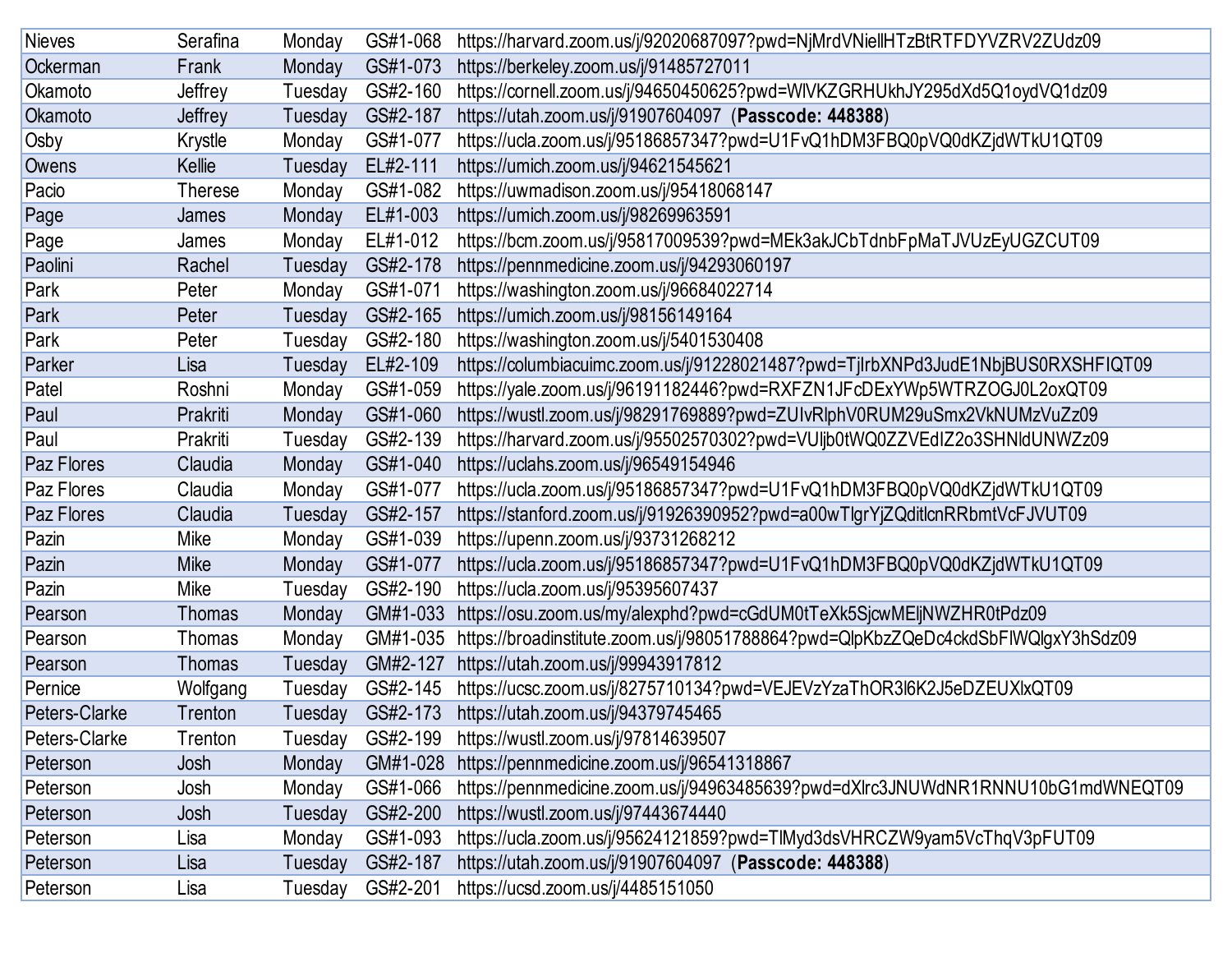| <b>Nieves</b> | Serafina       | Monday  | GS#1-068 | https://harvard.zoom.us/j/92020687097?pwd=NjMrdVNiellHTzBtRTFDYVZRV2ZUdz09        |
|---------------|----------------|---------|----------|-----------------------------------------------------------------------------------|
| Ockerman      | Frank          | Monday  | GS#1-073 | https://berkeley.zoom.us/j/91485727011                                            |
| Okamoto       | Jeffrey        | Tuesday | GS#2-160 | https://cornell.zoom.us/j/94650450625?pwd=WIVKZGRHUkhJY295dXd5Q1oydVQ1dz09        |
| Okamoto       | Jeffrey        | Tuesday | GS#2-187 | https://utah.zoom.us/j/91907604097 (Passcode: 448388)                             |
| Osby          | Krystle        | Monday  | GS#1-077 | https://ucla.zoom.us/j/95186857347?pwd=U1FvQ1hDM3FBQ0pVQ0dKZjdWTkU1QT09           |
| Owens         | Kellie         | Tuesday | EL#2-111 | https://umich.zoom.us/j/94621545621                                               |
| Pacio         | <b>Therese</b> | Monday  | GS#1-082 | https://uwmadison.zoom.us/j/95418068147                                           |
| Page          | James          | Monday  | EL#1-003 | https://umich.zoom.us/j/98269963591                                               |
| Page          | James          | Monday  | EL#1-012 | https://bcm.zoom.us/j/95817009539?pwd=MEk3akJCbTdnbFpMaTJVUzEyUGZCUT09            |
| Paolini       | Rachel         | Tuesday | GS#2-178 | https://pennmedicine.zoom.us/j/94293060197                                        |
| Park          | Peter          | Monday  | GS#1-071 | https://washington.zoom.us/j/96684022714                                          |
| Park          | Peter          | Tuesday | GS#2-165 | https://umich.zoom.us/j/98156149164                                               |
| Park          | Peter          | Tuesday | GS#2-180 | https://washington.zoom.us/j/5401530408                                           |
| Parker        | Lisa           | Tuesday | EL#2-109 | https://columbiacuimc.zoom.us/j/91228021487?pwd=TjlrbXNPd3JudE1NbjBUS0RXSHFIQT09  |
| Patel         | Roshni         | Monday  | GS#1-059 | https://yale.zoom.us/j/96191182446?pwd=RXFZN1JFcDExYWp5WTRZOGJ0L2oxQT09           |
| Paul          | Prakriti       | Monday  | GS#1-060 | https://wustl.zoom.us/j/98291769889?pwd=ZUIvRlphV0RUM29uSmx2VkNUMzVuZz09          |
| Paul          | Prakriti       | Tuesday | GS#2-139 | https://harvard.zoom.us/j/95502570302?pwd=VUljb0tWQ0ZZVEdIZ2o3SHNIdUNWZz09        |
| Paz Flores    | Claudia        | Monday  | GS#1-040 | https://uclahs.zoom.us/j/96549154946                                              |
| Paz Flores    | Claudia        | Monday  | GS#1-077 | https://ucla.zoom.us/j/95186857347?pwd=U1FvQ1hDM3FBQ0pVQ0dKZjdWTkU1QT09           |
| Paz Flores    | Claudia        | Tuesday | GS#2-157 | https://stanford.zoom.us/j/91926390952?pwd=a00wTlgrYjZQditlcnRRbmtVcFJVUT09       |
| Pazin         | Mike           | Monday  | GS#1-039 | https://upenn.zoom.us/j/93731268212                                               |
| Pazin         | Mike           | Monday  | GS#1-077 | https://ucla.zoom.us/j/95186857347?pwd=U1FvQ1hDM3FBQ0pVQ0dKZjdWTkU1QT09           |
| Pazin         | Mike           | Tuesday | GS#2-190 | https://ucla.zoom.us/j/95395607437                                                |
| Pearson       | <b>Thomas</b>  | Monday  | GM#1-033 | https://osu.zoom.us/my/alexphd?pwd=cGdUM0tTeXk5SjcwMEljNWZHR0tPdz09               |
| Pearson       | Thomas         | Monday  | GM#1-035 | https://broadinstitute.zoom.us/j/98051788864?pwd=QlpKbzZQeDc4ckdSbFIWQlgxY3hSdz09 |
| Pearson       | <b>Thomas</b>  | Tuesday | GM#2-127 | https://utah.zoom.us/j/99943917812                                                |
| Pernice       | Wolfgang       | Tuesday | GS#2-145 | https://ucsc.zoom.us/j/8275710134?pwd=VEJEVzYzaThOR3l6K2J5eDZEUXlxQT09            |
| Peters-Clarke | Trenton        | Tuesday | GS#2-173 | https://utah.zoom.us/j/94379745465                                                |
| Peters-Clarke | Trenton        | Tuesday | GS#2-199 | https://wustl.zoom.us/j/97814639507                                               |
| Peterson      | Josh           | Monday  | GM#1-028 | https://pennmedicine.zoom.us/j/96541318867                                        |
| Peterson      | Josh           | Monday  | GS#1-066 | https://pennmedicine.zoom.us/j/94963485639?pwd=dXlrc3JNUWdNR1RNNU10bG1mdWNEQT09   |
| Peterson      | Josh           | Tuesday | GS#2-200 | https://wustl.zoom.us/j/97443674440                                               |
| Peterson      | Lisa           | Monday  | GS#1-093 | https://ucla.zoom.us/j/95624121859?pwd=TlMyd3dsVHRCZW9yam5VcThqV3pFUT09           |
| Peterson      | Lisa           | Tuesday | GS#2-187 | https://utah.zoom.us/j/91907604097 (Passcode: 448388)                             |
| Peterson      | Lisa           | Tuesday | GS#2-201 | https://ucsd.zoom.us/j/4485151050                                                 |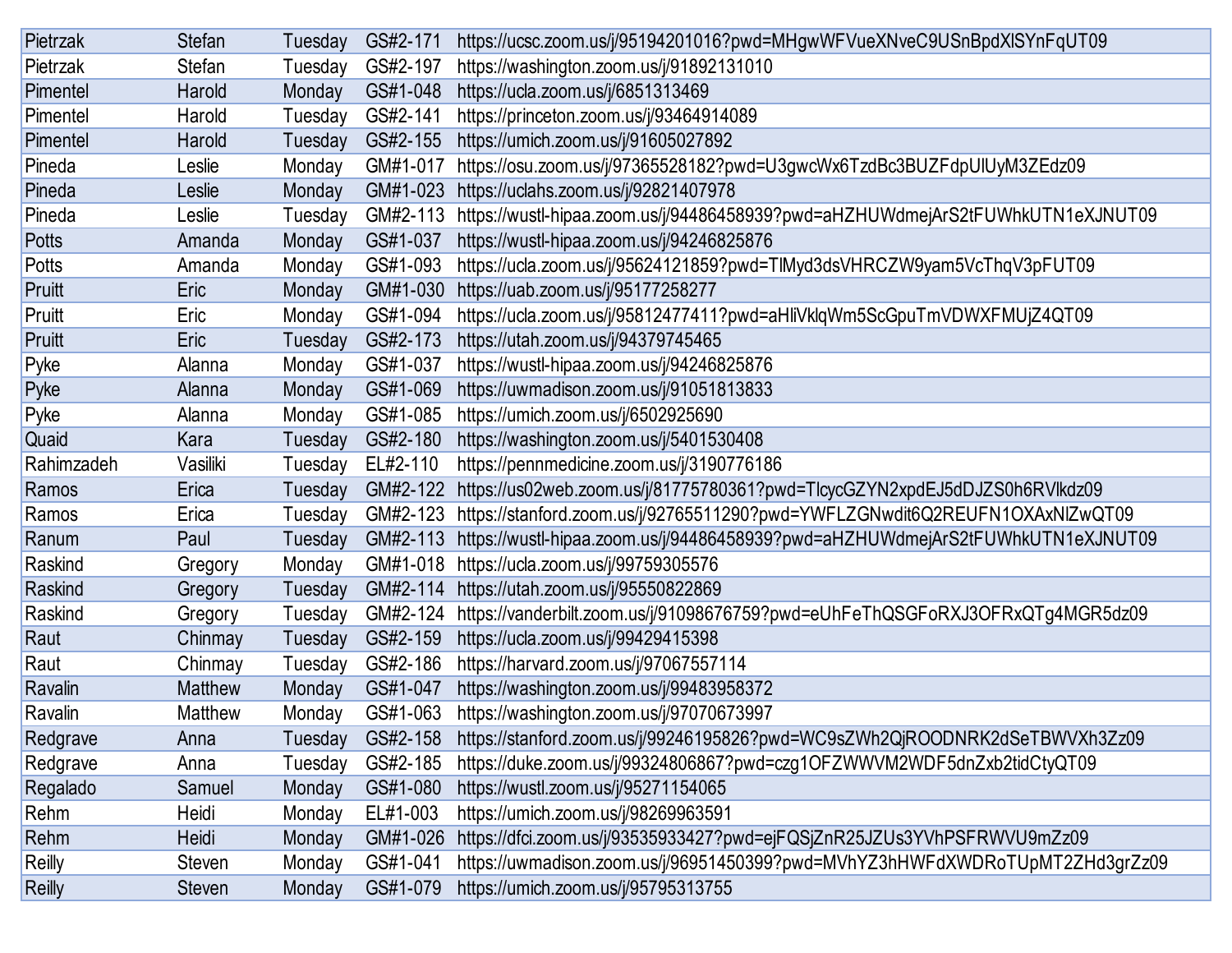| Pietrzak      | <b>Stefan</b>  | Tuesday | GS#2-171 | https://ucsc.zoom.us/j/95194201016?pwd=MHgwWFVueXNveC9USnBpdXlSYnFqUT09        |
|---------------|----------------|---------|----------|--------------------------------------------------------------------------------|
| Pietrzak      | <b>Stefan</b>  | Tuesday | GS#2-197 | https://washington.zoom.us/j/91892131010                                       |
| Pimentel      | Harold         | Monday  | GS#1-048 | https://ucla.zoom.us/j/6851313469                                              |
| Pimentel      | Harold         | Tuesday | GS#2-141 | https://princeton.zoom.us/j/93464914089                                        |
| Pimentel      | Harold         | Tuesday | GS#2-155 | https://umich.zoom.us/j/91605027892                                            |
| Pineda        | Leslie         | Monday  | GM#1-017 | https://osu.zoom.us/j/97365528182?pwd=U3gwcWx6TzdBc3BUZFdpUlUyM3ZEdz09         |
| Pineda        | Leslie         | Monday  | GM#1-023 | https://uclahs.zoom.us/j/92821407978                                           |
| Pineda        | Leslie         | Tuesday | GM#2-113 | https://wustl-hipaa.zoom.us/j/94486458939?pwd=aHZHUWdmejArS2tFUWhkUTN1eXJNUT09 |
| <b>Potts</b>  | Amanda         | Monday  | GS#1-037 | https://wustl-hipaa.zoom.us/j/94246825876                                      |
| Potts         | Amanda         | Monday  | GS#1-093 | https://ucla.zoom.us/j/95624121859?pwd=TlMyd3dsVHRCZW9yam5VcThqV3pFUT09        |
| Pruitt        | Eric           | Monday  | GM#1-030 | https://uab.zoom.us/j/95177258277                                              |
| Pruitt        | Eric           | Monday  | GS#1-094 | https://ucla.zoom.us/j/95812477411?pwd=aHliVklqWm5ScGpuTmVDWXFMUjZ4QT09        |
| Pruitt        | Eric           | Tuesday | GS#2-173 | https://utah.zoom.us/j/94379745465                                             |
| Pyke          | Alanna         | Monday  | GS#1-037 | https://wustl-hipaa.zoom.us/j/94246825876                                      |
| Pyke          | Alanna         | Monday  | GS#1-069 | https://uwmadison.zoom.us/j/91051813833                                        |
| Pyke          | Alanna         | Monday  | GS#1-085 | https://umich.zoom.us/j/6502925690                                             |
| Quaid         | Kara           | Tuesday | GS#2-180 | https://washington.zoom.us/j/5401530408                                        |
| Rahimzadeh    | Vasiliki       | Tuesday | EL#2-110 | https://pennmedicine.zoom.us/j/3190776186                                      |
| Ramos         | Erica          | Tuesday | GM#2-122 | https://us02web.zoom.us/j/81775780361?pwd=TlcycGZYN2xpdEJ5dDJZS0h6RVlkdz09     |
| Ramos         | Erica          | Tuesday | GM#2-123 | https://stanford.zoom.us/j/92765511290?pwd=YWFLZGNwdit6Q2REUFN1OXAxNIZwQT09    |
| Ranum         | Paul           | Tuesday | GM#2-113 | https://wustl-hipaa.zoom.us/j/94486458939?pwd=aHZHUWdmejArS2tFUWhkUTN1eXJNUT09 |
| Raskind       | Gregory        | Monday  | GM#1-018 | https://ucla.zoom.us/j/99759305576                                             |
| Raskind       | Gregory        | Tuesday | GM#2-114 | https://utah.zoom.us/j/95550822869                                             |
| Raskind       | Gregory        | Tuesday | GM#2-124 | https://vanderbilt.zoom.us/j/91098676759?pwd=eUhFeThQSGFoRXJ3OFRxQTg4MGR5dz09  |
| Raut          | Chinmay        | Tuesday | GS#2-159 | https://ucla.zoom.us/j/99429415398                                             |
| Raut          | Chinmay        | Tuesday | GS#2-186 | https://harvard.zoom.us/j/97067557114                                          |
| Ravalin       | <b>Matthew</b> | Monday  | GS#1-047 | https://washington.zoom.us/j/99483958372                                       |
| Ravalin       | <b>Matthew</b> | Monday  | GS#1-063 | https://washington.zoom.us/j/97070673997                                       |
| Redgrave      | Anna           | Tuesday | GS#2-158 | https://stanford.zoom.us/j/99246195826?pwd=WC9sZWh2QjROODNRK2dSeTBWVXh3Zz09    |
| Redgrave      | Anna           | Tuesday | GS#2-185 | https://duke.zoom.us/j/99324806867?pwd=czg1OFZWWVM2WDF5dnZxb2tidCtyQT09        |
| Regalado      | Samuel         | Monday  | GS#1-080 | https://wustl.zoom.us/j/95271154065                                            |
| Rehm          | Heidi          | Monday  | EL#1-003 | https://umich.zoom.us/j/98269963591                                            |
| Rehm          | Heidi          | Monday  | GM#1-026 | https://dfci.zoom.us/j/93535933427?pwd=ejFQSjZnR25JZUs3YVhPSFRWVU9mZz09        |
| Reilly        | <b>Steven</b>  | Monday  | GS#1-041 | https://uwmadison.zoom.us/j/96951450399?pwd=MVhYZ3hHWFdXWDRoTUpMT2ZHd3grZz09   |
| <b>Reilly</b> | Steven         | Monday  | GS#1-079 | https://umich.zoom.us/j/95795313755                                            |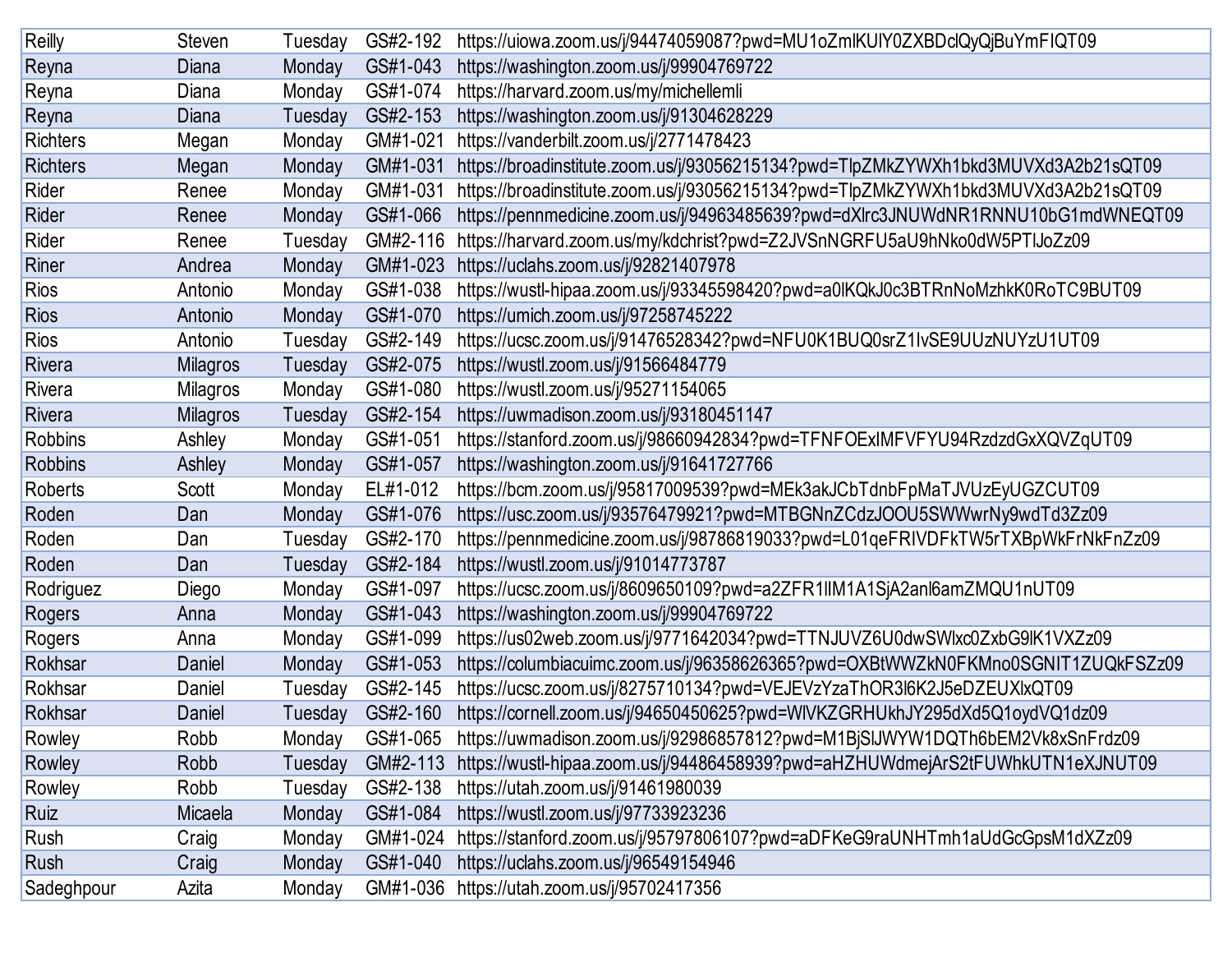| Reilly          | <b>Steven</b>   | Tuesday | GS#2-192 | https://uiowa.zoom.us/j/94474059087?pwd=MU1oZmlKUIY0ZXBDclQyQjBuYmFIQT09          |
|-----------------|-----------------|---------|----------|-----------------------------------------------------------------------------------|
| Reyna           | Diana           | Monday  | GS#1-043 | https://washington.zoom.us/j/99904769722                                          |
| Reyna           | Diana           | Monday  | GS#1-074 | https://harvard.zoom.us/my/michellemli                                            |
| Reyna           | Diana           | Tuesday | GS#2-153 | https://washington.zoom.us/j/91304628229                                          |
| <b>Richters</b> | Megan           | Monday  | GM#1-021 | https://vanderbilt.zoom.us/j/2771478423                                           |
| <b>Richters</b> | Megan           | Monday  | GM#1-031 | https://broadinstitute.zoom.us/j/93056215134?pwd=TlpZMkZYWXh1bkd3MUVXd3A2b21sQT09 |
| Rider           | Renee           | Monday  | GM#1-031 | https://broadinstitute.zoom.us/j/93056215134?pwd=TlpZMkZYWXh1bkd3MUVXd3A2b21sQT09 |
| Rider           | Renee           | Monday  | GS#1-066 | https://pennmedicine.zoom.us/j/94963485639?pwd=dXlrc3JNUWdNR1RNNU10bG1mdWNEQT09   |
| Rider           | Renee           | Tuesday | GM#2-116 | https://harvard.zoom.us/my/kdchrist?pwd=Z2JVSnNGRFU5aU9hNko0dW5PTIJoZz09          |
| Riner           | Andrea          | Monday  | GM#1-023 | https://uclahs.zoom.us/j/92821407978                                              |
| Rios            | Antonio         | Monday  | GS#1-038 | https://wustl-hipaa.zoom.us/j/93345598420?pwd=a0lKQkJ0c3BTRnNoMzhkK0RoTC9BUT09    |
| <b>Rios</b>     | Antonio         | Monday  | GS#1-070 | https://umich.zoom.us/j/97258745222                                               |
| <b>Rios</b>     | Antonio         | Tuesday | GS#2-149 | https://ucsc.zoom.us/j/91476528342?pwd=NFU0K1BUQ0srZ1lvSE9UUzNUYzU1UT09           |
| Rivera          | <b>Milagros</b> | Tuesday | GS#2-075 | https://wustl.zoom.us/j/91566484779                                               |
| Rivera          | <b>Milagros</b> | Monday  | GS#1-080 | https://wustl.zoom.us/j/95271154065                                               |
| Rivera          | <b>Milagros</b> | Tuesday | GS#2-154 | https://uwmadison.zoom.us/j/93180451147                                           |
| <b>Robbins</b>  | Ashley          | Monday  | GS#1-051 | https://stanford.zoom.us/j/98660942834?pwd=TFNFOExIMFVFYU94RzdzdGxXQVZqUT09       |
| <b>Robbins</b>  | Ashley          | Monday  | GS#1-057 | https://washington.zoom.us/j/91641727766                                          |
| <b>Roberts</b>  | Scott           | Monday  | EL#1-012 | https://bcm.zoom.us/j/95817009539?pwd=MEk3akJCbTdnbFpMaTJVUzEyUGZCUT09            |
| Roden           | Dan             | Monday  | GS#1-076 | https://usc.zoom.us/j/93576479921?pwd=MTBGNnZCdzJOOU5SWWwrNy9wdTd3Zz09            |
| Roden           | Dan             | Tuesday | GS#2-170 | https://pennmedicine.zoom.us/j/98786819033?pwd=L01qeFRIVDFkTW5rTXBpWkFrNkFnZz09   |
| Roden           | Dan             | Tuesday | GS#2-184 | https://wustl.zoom.us/j/91014773787                                               |
| Rodriguez       | Diego           | Monday  | GS#1-097 | https://ucsc.zoom.us/j/8609650109?pwd=a2ZFR1llM1A1SjA2anl6amZMQU1nUT09            |
| Rogers          | Anna            | Monday  | GS#1-043 | https://washington.zoom.us/j/99904769722                                          |
| Rogers          | Anna            | Monday  | GS#1-099 | https://us02web.zoom.us/j/9771642034?pwd=TTNJUVZ6U0dwSWlxc0ZxbG9lK1VXZz09         |
| Rokhsar         | Daniel          | Monday  | GS#1-053 | https://columbiacuimc.zoom.us/j/96358626365?pwd=OXBtWWZkN0FKMno0SGNIT1ZUQkFSZz09  |
| Rokhsar         | Daniel          | Tuesday | GS#2-145 | https://ucsc.zoom.us/j/8275710134?pwd=VEJEVzYzaThOR3l6K2J5eDZEUXlxQT09            |
| Rokhsar         | Daniel          | Tuesday | GS#2-160 | https://cornell.zoom.us/j/94650450625?pwd=WIVKZGRHUkhJY295dXd5Q1oydVQ1dz09        |
| Rowley          | Robb            | Monday  | GS#1-065 | https://uwmadison.zoom.us/j/92986857812?pwd=M1BjSIJWYW1DQTh6bEM2Vk8xSnFrdz09      |
| Rowley          | Robb            | Tuesday | GM#2-113 | https://wustl-hipaa.zoom.us/j/94486458939?pwd=aHZHUWdmejArS2tFUWhkUTN1eXJNUT09    |
| Rowley          | Robb            | Tuesday | GS#2-138 | https://utah.zoom.us/j/91461980039                                                |
| Ruiz            | Micaela         | Monday  | GS#1-084 | https://wustl.zoom.us/j/97733923236                                               |
| Rush            | Craig           | Monday  | GM#1-024 | https://stanford.zoom.us/j/95797806107?pwd=aDFKeG9raUNHTmh1aUdGcGpsM1dXZz09       |
| Rush            | Craig           | Monday  | GS#1-040 | https://uclahs.zoom.us/j/96549154946                                              |
| Sadeghpour      | Azita           | Monday  | GM#1-036 | https://utah.zoom.us/j/95702417356                                                |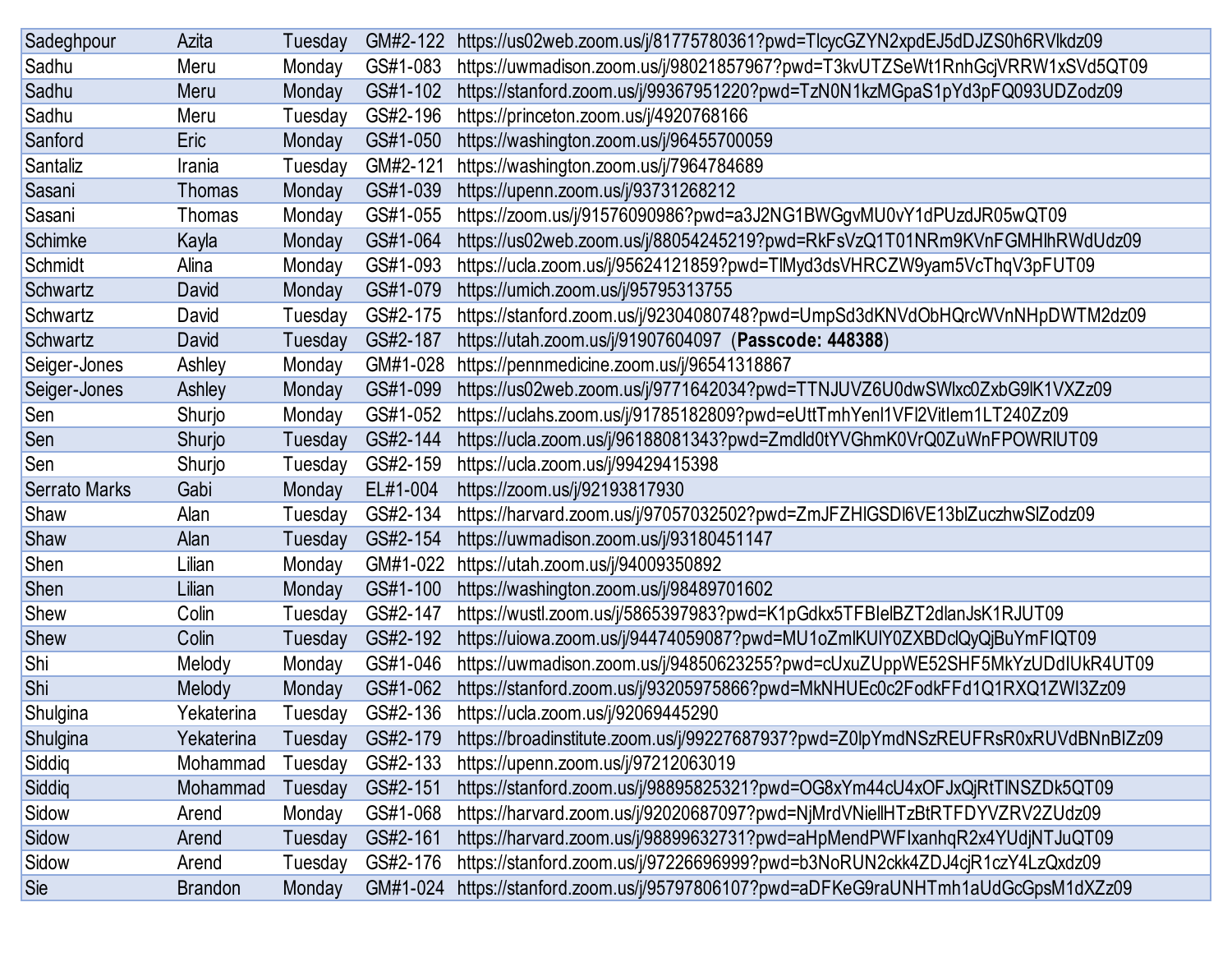| Sadeghpour    | Azita          | Tuesday | GM#2-122 | https://us02web.zoom.us/j/81775780361?pwd=TlcycGZYN2xpdEJ5dDJZS0h6RVlkdz09        |
|---------------|----------------|---------|----------|-----------------------------------------------------------------------------------|
| Sadhu         | Meru           | Monday  | GS#1-083 | https://uwmadison.zoom.us/j/98021857967?pwd=T3kvUTZSeWt1RnhGcjVRRW1xSVd5QT09      |
| Sadhu         | Meru           | Monday  | GS#1-102 | https://stanford.zoom.us/j/99367951220?pwd=TzN0N1kzMGpaS1pYd3pFQ093UDZodz09       |
| Sadhu         | Meru           | Tuesday | GS#2-196 | https://princeton.zoom.us/j/4920768166                                            |
| Sanford       | Eric           | Monday  | GS#1-050 | https://washington.zoom.us/j/96455700059                                          |
| Santaliz      | Irania         | Tuesday | GM#2-121 | https://washington.zoom.us/j/7964784689                                           |
| Sasani        | <b>Thomas</b>  | Monday  | GS#1-039 | https://upenn.zoom.us/j/93731268212                                               |
| Sasani        | Thomas         | Monday  | GS#1-055 | https://zoom.us/j/91576090986?pwd=a3J2NG1BWGgvMU0vY1dPUzdJR05wQT09                |
| Schimke       | Kayla          | Monday  | GS#1-064 | https://us02web.zoom.us/j/88054245219?pwd=RkFsVzQ1T01NRm9KVnFGMHlhRWdUdz09        |
| Schmidt       | Alina          | Monday  | GS#1-093 | https://ucla.zoom.us/j/95624121859?pwd=TlMyd3dsVHRCZW9yam5VcThqV3pFUT09           |
| Schwartz      | David          | Monday  | GS#1-079 | https://umich.zoom.us/j/95795313755                                               |
| Schwartz      | David          | Tuesday | GS#2-175 | https://stanford.zoom.us/j/92304080748?pwd=UmpSd3dKNVdObHQrcWVnNHpDWTM2dz09       |
| Schwartz      | David          | Tuesday | GS#2-187 | https://utah.zoom.us/j/91907604097 (Passcode: 448388)                             |
| Seiger-Jones  | Ashley         | Monday  | GM#1-028 | https://pennmedicine.zoom.us/j/96541318867                                        |
| Seiger-Jones  | Ashley         | Monday  | GS#1-099 | https://us02web.zoom.us/j/9771642034?pwd=TTNJUVZ6U0dwSWlxc0ZxbG9lK1VXZz09         |
| Sen           | Shurjo         | Monday  | GS#1-052 | https://uclahs.zoom.us/j/91785182809?pwd=eUttTmhYenl1VFl2Vitlem1LT240Zz09         |
| Sen           | Shurjo         | Tuesday | GS#2-144 | https://ucla.zoom.us/j/96188081343?pwd=Zmdld0tYVGhmK0VrQ0ZuWnFPOWRIUT09           |
| Sen           | Shurjo         | Tuesday | GS#2-159 | https://ucla.zoom.us/j/99429415398                                                |
| Serrato Marks | Gabi           | Monday  | EL#1-004 | https://zoom.us/j/92193817930                                                     |
| Shaw          | Alan           | Tuesday | GS#2-134 | https://harvard.zoom.us/j/97057032502?pwd=ZmJFZHIGSDI6VE13blZuczhwSlZodz09        |
| Shaw          | Alan           | Tuesday | GS#2-154 | https://uwmadison.zoom.us/j/93180451147                                           |
| Shen          | Lilian         | Monday  | GM#1-022 | https://utah.zoom.us/j/94009350892                                                |
| <b>Shen</b>   | Lilian         | Monday  | GS#1-100 | https://washington.zoom.us/j/98489701602                                          |
| Shew          | Colin          | Tuesday | GS#2-147 | https://wustl.zoom.us/j/5865397983?pwd=K1pGdkx5TFBIelBZT2dlanJsK1RJUT09           |
| Shew          | Colin          | Tuesday | GS#2-192 | https://uiowa.zoom.us/j/94474059087?pwd=MU1oZmlKUIY0ZXBDclQyQjBuYmFIQT09          |
| Shi           | Melody         | Monday  | GS#1-046 | https://uwmadison.zoom.us/j/94850623255?pwd=cUxuZUppWE52SHF5MkYzUDdIUkR4UT09      |
| Shi           | Melody         | Monday  | GS#1-062 | https://stanford.zoom.us/j/93205975866?pwd=MkNHUEc0c2FodkFFd1Q1RXQ1ZWI3Zz09       |
| Shulgina      | Yekaterina     | Tuesday | GS#2-136 | https://ucla.zoom.us/j/92069445290                                                |
| Shulgina      | Yekaterina     | Tuesday | GS#2-179 | https://broadinstitute.zoom.us/j/99227687937?pwd=Z0lpYmdNSzREUFRsR0xRUVdBNnBIZz09 |
| Siddiq        | Mohammad       | Tuesday | GS#2-133 | https://upenn.zoom.us/j/97212063019                                               |
| Siddiq        | Mohammad       | Tuesday | GS#2-151 | https://stanford.zoom.us/j/98895825321?pwd=OG8xYm44cU4xOFJxQjRtTINSZDk5QT09       |
| Sidow         | Arend          | Monday  | GS#1-068 | https://harvard.zoom.us/j/92020687097?pwd=NjMrdVNiellHTzBtRTFDYVZRV2ZUdz09        |
| Sidow         | Arend          | Tuesday | GS#2-161 | https://harvard.zoom.us/j/98899632731?pwd=aHpMendPWFIxanhqR2x4YUdjNTJuQT09        |
| Sidow         | Arend          | Tuesday | GS#2-176 | https://stanford.zoom.us/j/97226696999?pwd=b3NoRUN2ckk4ZDJ4cjR1czY4LzQxdz09       |
| Sie           | <b>Brandon</b> | Monday  | GM#1-024 | https://stanford.zoom.us/j/95797806107?pwd=aDFKeG9raUNHTmh1aUdGcGpsM1dXZz09       |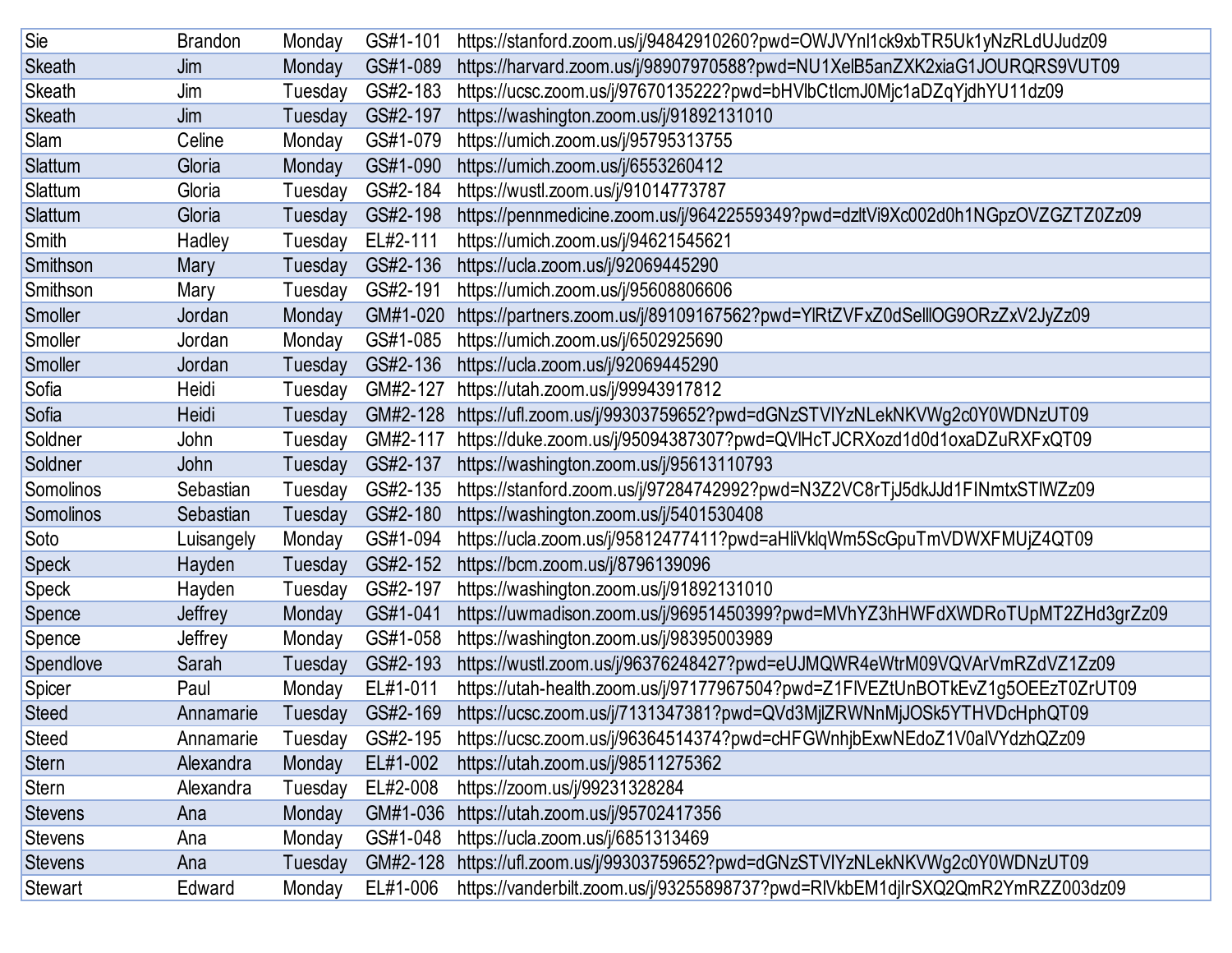| Sie            | <b>Brandon</b> | Monday  | GS#1-101 | https://stanford.zoom.us/j/94842910260?pwd=OWJVYnl1ck9xbTR5Uk1yNzRLdUJudz09     |
|----------------|----------------|---------|----------|---------------------------------------------------------------------------------|
| <b>Skeath</b>  | Jim            | Monday  | GS#1-089 | https://harvard.zoom.us/j/98907970588?pwd=NU1XelB5anZXK2xiaG1JOURQRS9VUT09      |
| <b>Skeath</b>  | Jim            | Tuesday | GS#2-183 | https://ucsc.zoom.us/j/97670135222?pwd=bHVlbCtlcmJ0Mjc1aDZqYjdhYU11dz09         |
| <b>Skeath</b>  | Jim            | Tuesday | GS#2-197 | https://washington.zoom.us/j/91892131010                                        |
| Slam           | Celine         | Monday  | GS#1-079 | https://umich.zoom.us/j/95795313755                                             |
| Slattum        | Gloria         | Monday  | GS#1-090 | https://umich.zoom.us/j/6553260412                                              |
| Slattum        | Gloria         | Tuesday | GS#2-184 | https://wustl.zoom.us/j/91014773787                                             |
| Slattum        | Gloria         | Tuesday | GS#2-198 | https://pennmedicine.zoom.us/j/96422559349?pwd=dzltVi9Xc002d0h1NGpzOVZGZTZ0Zz09 |
| Smith          | Hadley         | Tuesday | EL#2-111 | https://umich.zoom.us/j/94621545621                                             |
| Smithson       | Mary           | Tuesday | GS#2-136 | https://ucla.zoom.us/j/92069445290                                              |
| Smithson       | Mary           | Tuesday | GS#2-191 | https://umich.zoom.us/j/95608806606                                             |
| Smoller        | Jordan         | Monday  | GM#1-020 | https://partners.zoom.us/j/89109167562?pwd=YlRtZVFxZ0dSelllOG9ORzZxV2JyZz09     |
| Smoller        | Jordan         | Monday  | GS#1-085 | https://umich.zoom.us/j/6502925690                                              |
| Smoller        | Jordan         | Tuesday | GS#2-136 | https://ucla.zoom.us/j/92069445290                                              |
| Sofia          | Heidi          | Tuesday | GM#2-127 | https://utah.zoom.us/j/99943917812                                              |
| Sofia          | Heidi          | Tuesday | GM#2-128 | https://ufl.zoom.us/j/99303759652?pwd=dGNzSTVIYzNLekNKVWg2c0Y0WDNzUT09          |
| Soldner        | John           | Tuesday | GM#2-117 | https://duke.zoom.us/j/95094387307?pwd=QVIHcTJCRXozd1d0d1oxaDZuRXFxQT09         |
| Soldner        | John           | Tuesday | GS#2-137 | https://washington.zoom.us/j/95613110793                                        |
| Somolinos      | Sebastian      | Tuesday | GS#2-135 | https://stanford.zoom.us/j/97284742992?pwd=N3Z2VC8rTjJ5dkJJd1FINmtxSTIWZz09     |
| Somolinos      | Sebastian      | Tuesday | GS#2-180 | https://washington.zoom.us/j/5401530408                                         |
| Soto           | Luisangely     | Monday  | GS#1-094 | https://ucla.zoom.us/j/95812477411?pwd=aHliVklqWm5ScGpuTmVDWXFMUjZ4QT09         |
| <b>Speck</b>   | Hayden         | Tuesday | GS#2-152 | https://bcm.zoom.us/j/8796139096                                                |
| <b>Speck</b>   | Hayden         | Tuesday | GS#2-197 | https://washington.zoom.us/j/91892131010                                        |
| Spence         | Jeffrey        | Monday  | GS#1-041 | https://uwmadison.zoom.us/j/96951450399?pwd=MVhYZ3hHWFdXWDRoTUpMT2ZHd3grZz09    |
| Spence         | Jeffrey        | Monday  | GS#1-058 | https://washington.zoom.us/j/98395003989                                        |
| Spendlove      | Sarah          | Tuesday | GS#2-193 | https://wustl.zoom.us/j/96376248427?pwd=eUJMQWR4eWtrM09VQVArVmRZdVZ1Zz09        |
| Spicer         | Paul           | Monday  | EL#1-011 | https://utah-health.zoom.us/j/97177967504?pwd=Z1FIVEZtUnBOTkEvZ1g5OEEzT0ZrUT09  |
| <b>Steed</b>   | Annamarie      | Tuesday | GS#2-169 | https://ucsc.zoom.us/j/7131347381?pwd=QVd3MjlZRWNnMjJOSk5YTHVDcHphQT09          |
| <b>Steed</b>   | Annamarie      | Tuesday | GS#2-195 | https://ucsc.zoom.us/j/96364514374?pwd=cHFGWnhjbExwNEdoZ1V0alVYdzhQZz09         |
| <b>Stern</b>   | Alexandra      | Monday  | EL#1-002 | https://utah.zoom.us/j/98511275362                                              |
| Stern          | Alexandra      | Tuesday | EL#2-008 | https://zoom.us/j/99231328284                                                   |
| <b>Stevens</b> | Ana            | Monday  | GM#1-036 | https://utah.zoom.us/j/95702417356                                              |
| <b>Stevens</b> | Ana            | Monday  | GS#1-048 | https://ucla.zoom.us/j/6851313469                                               |
| <b>Stevens</b> | Ana            | Tuesday | GM#2-128 | https://ufl.zoom.us/j/99303759652?pwd=dGNzSTVIYzNLekNKVWg2c0Y0WDNzUT09          |
| <b>Stewart</b> | Edward         | Monday  | EL#1-006 | https://vanderbilt.zoom.us/j/93255898737?pwd=RIVkbEM1djIrSXQ2QmR2YmRZZ003dz09   |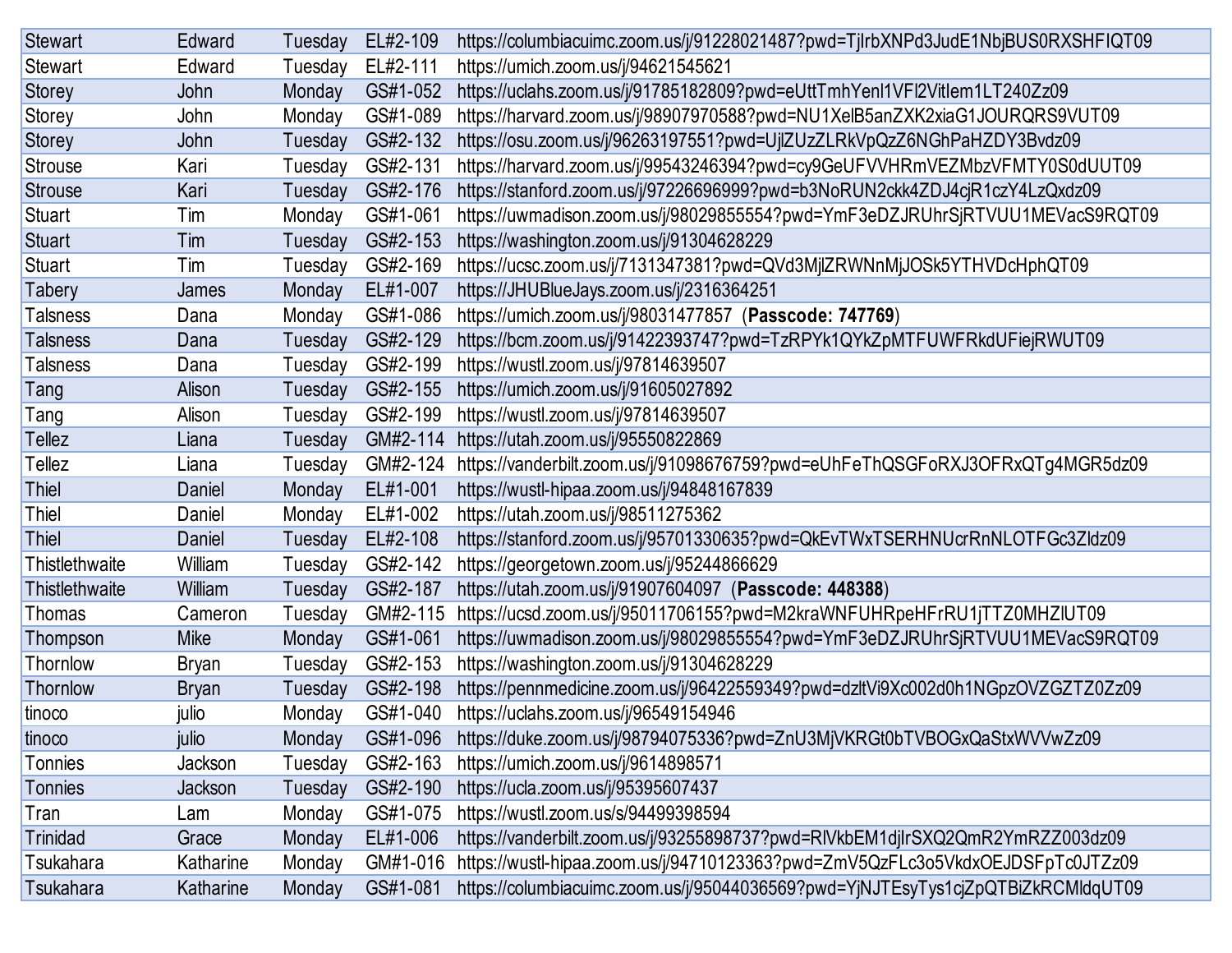| <b>Stewart</b>  | Edward       | Tuesday | EL#2-109 | https://columbiacuimc.zoom.us/j/91228021487?pwd=TjlrbXNPd3JudE1NbjBUS0RXSHFIQT09 |
|-----------------|--------------|---------|----------|----------------------------------------------------------------------------------|
| <b>Stewart</b>  | Edward       | Tuesday | EL#2-111 | https://umich.zoom.us/j/94621545621                                              |
| <b>Storey</b>   | John         | Monday  | GS#1-052 | https://uclahs.zoom.us/j/91785182809?pwd=eUttTmhYenl1VFl2Vitlem1LT240Zz09        |
| Storey          | John         | Monday  | GS#1-089 | https://harvard.zoom.us/j/98907970588?pwd=NU1XelB5anZXK2xiaG1JOURQRS9VUT09       |
| <b>Storey</b>   | John         | Tuesday | GS#2-132 | https://osu.zoom.us/j/96263197551?pwd=UjlZUzZLRkVpQzZ6NGhPaHZDY3Bvdz09           |
| Strouse         | Kari         | Tuesday | GS#2-131 | https://harvard.zoom.us/j/99543246394?pwd=cy9GeUFVVHRmVEZMbzVFMTY0S0dUUT09       |
| <b>Strouse</b>  | Kari         | Tuesday | GS#2-176 | https://stanford.zoom.us/j/97226696999?pwd=b3NoRUN2ckk4ZDJ4cjR1czY4LzQxdz09      |
| <b>Stuart</b>   | Tim          | Monday  | GS#1-061 | https://uwmadison.zoom.us/j/98029855554?pwd=YmF3eDZJRUhrSjRTVUU1MEVacS9RQT09     |
| <b>Stuart</b>   | Tim          | Tuesday | GS#2-153 | https://washington.zoom.us/j/91304628229                                         |
| <b>Stuart</b>   | Tim          | Tuesday | GS#2-169 | https://ucsc.zoom.us/j/7131347381?pwd=QVd3MjlZRWNnMjJOSk5YTHVDcHphQT09           |
| Tabery          | James        | Monday  | EL#1-007 | https://JHUBlueJays.zoom.us/j/2316364251                                         |
| <b>Talsness</b> | Dana         | Monday  | GS#1-086 | https://umich.zoom.us/j/98031477857 (Passcode: 747769)                           |
| <b>Talsness</b> | Dana         | Tuesday | GS#2-129 | https://bcm.zoom.us/j/91422393747?pwd=TzRPYk1QYkZpMTFUWFRkdUFiejRWUT09           |
| <b>Talsness</b> | Dana         | Tuesday | GS#2-199 | https://wustl.zoom.us/j/97814639507                                              |
| Tang            | Alison       | Tuesday | GS#2-155 | https://umich.zoom.us/j/91605027892                                              |
| Tang            | Alison       | Tuesday | GS#2-199 | https://wustl.zoom.us/j/97814639507                                              |
| Tellez          | Liana        | Tuesday | GM#2-114 | https://utah.zoom.us/j/95550822869                                               |
| Tellez          | Liana        | Tuesday | GM#2-124 | https://vanderbilt.zoom.us/j/91098676759?pwd=eUhFeThQSGFoRXJ3OFRxQTg4MGR5dz09    |
| <b>Thiel</b>    | Daniel       | Monday  | EL#1-001 | https://wustl-hipaa.zoom.us/j/94848167839                                        |
| Thiel           | Daniel       | Monday  | EL#1-002 | https://utah.zoom.us/j/98511275362                                               |
| <b>Thiel</b>    | Daniel       | Tuesday | EL#2-108 | https://stanford.zoom.us/j/95701330635?pwd=QkEvTWxTSERHNUcrRnNLOTFGc3Zldz09      |
| Thistlethwaite  | William      | Tuesday | GS#2-142 | https://georgetown.zoom.us/j/95244866629                                         |
| Thistlethwaite  | William      | Tuesday | GS#2-187 | https://utah.zoom.us/j/91907604097 (Passcode: 448388)                            |
| Thomas          | Cameron      | Tuesday | GM#2-115 | https://ucsd.zoom.us/j/95011706155?pwd=M2kraWNFUHRpeHFrRU1jTTZ0MHZIUT09          |
| Thompson        | <b>Mike</b>  | Monday  | GS#1-061 | https://uwmadison.zoom.us/j/98029855554?pwd=YmF3eDZJRUhrSjRTVUU1MEVacS9RQT09     |
| Thornlow        | <b>Bryan</b> | Tuesday | GS#2-153 | https://washington.zoom.us/j/91304628229                                         |
| Thornlow        | <b>Bryan</b> | Tuesday | GS#2-198 | https://pennmedicine.zoom.us/j/96422559349?pwd=dzltVi9Xc002d0h1NGpzOVZGZTZ0Zz09  |
| tinoco          | julio        | Monday  | GS#1-040 | https://uclahs.zoom.us/j/96549154946                                             |
| tinoco          | julio        | Monday  | GS#1-096 | https://duke.zoom.us/j/98794075336?pwd=ZnU3MjVKRGt0bTVBOGxQaStxWVVwZz09          |
| Tonnies         | Jackson      | Tuesday | GS#2-163 | https://umich.zoom.us/j/9614898571                                               |
| Tonnies         | Jackson      | Tuesday | GS#2-190 | https://ucla.zoom.us/j/95395607437                                               |
| Tran            | Lam          | Monday  | GS#1-075 | https://wustl.zoom.us/s/94499398594                                              |
| Trinidad        | Grace        | Monday  | EL#1-006 | https://vanderbilt.zoom.us/j/93255898737?pwd=RIVkbEM1djlrSXQ2QmR2YmRZZ003dz09    |
| Tsukahara       | Katharine    | Monday  | GM#1-016 | https://wustl-hipaa.zoom.us/j/94710123363?pwd=ZmV5QzFLc3o5VkdxOEJDSFpTc0JTZz09   |
| Tsukahara       | Katharine    | Monday  | GS#1-081 | https://columbiacuimc.zoom.us/j/95044036569?pwd=YjNJTEsyTys1cjZpQTBiZkRCMldqUT09 |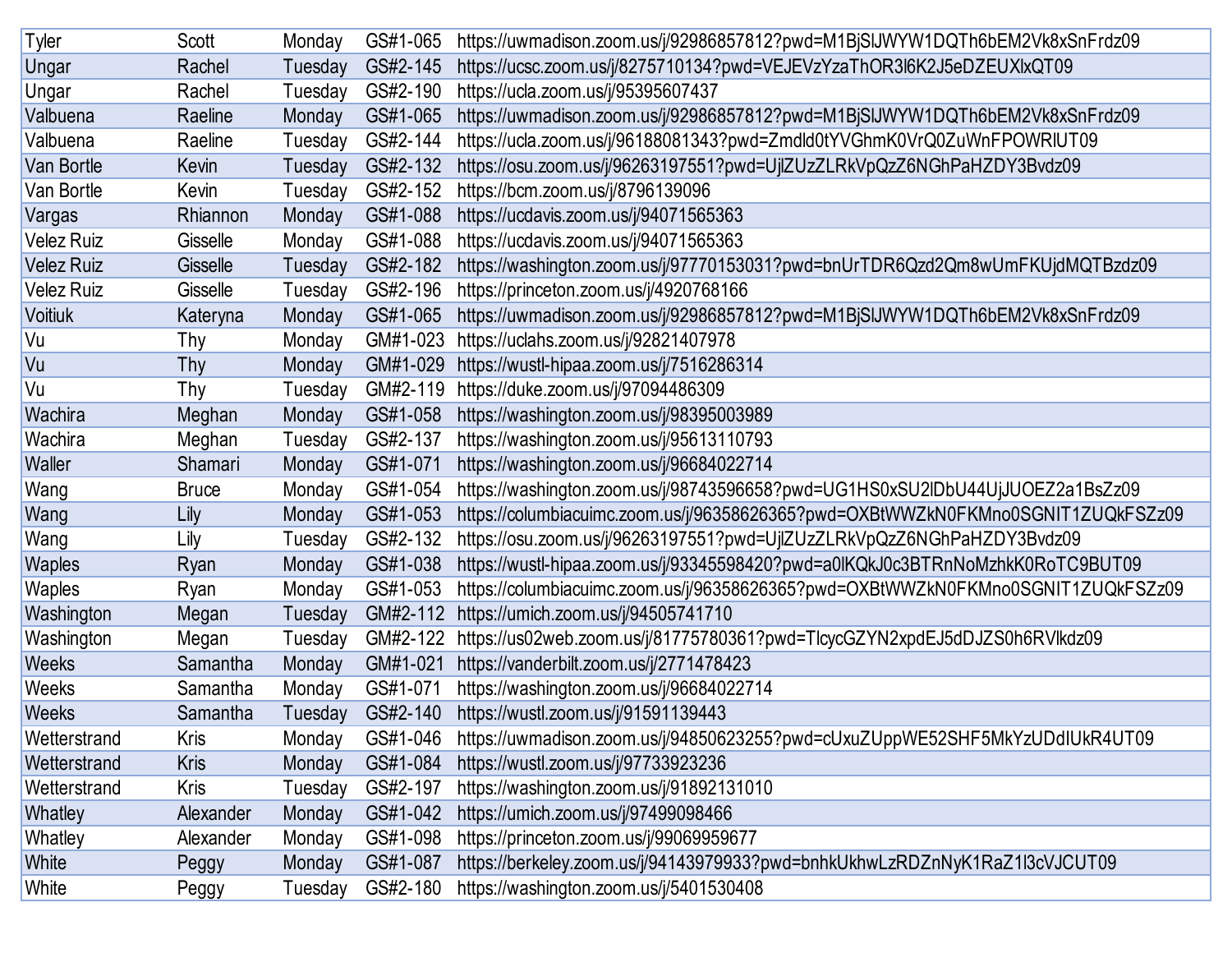| Tyler             | Scott        | Monday  | GS#1-065 | https://uwmadison.zoom.us/j/92986857812?pwd=M1BjSIJWYW1DQTh6bEM2Vk8xSnFrdz09     |
|-------------------|--------------|---------|----------|----------------------------------------------------------------------------------|
| Ungar             | Rachel       | Tuesday | GS#2-145 | https://ucsc.zoom.us/j/8275710134?pwd=VEJEVzYzaThOR3l6K2J5eDZEUXlxQT09           |
| Ungar             | Rachel       | Tuesday | GS#2-190 | https://ucla.zoom.us/j/95395607437                                               |
| Valbuena          | Raeline      | Monday  | GS#1-065 | https://uwmadison.zoom.us/j/92986857812?pwd=M1BjSIJWYW1DQTh6bEM2Vk8xSnFrdz09     |
| Valbuena          | Raeline      | Tuesday | GS#2-144 | https://ucla.zoom.us/j/96188081343?pwd=Zmdld0tYVGhmK0VrQ0ZuWnFPOWRIUT09          |
| Van Bortle        | Kevin        | Tuesday | GS#2-132 | https://osu.zoom.us/j/96263197551?pwd=UjlZUzZLRkVpQzZ6NGhPaHZDY3Bvdz09           |
| Van Bortle        | Kevin        | Tuesday | GS#2-152 | https://bcm.zoom.us/j/8796139096                                                 |
| Vargas            | Rhiannon     | Monday  | GS#1-088 | https://ucdavis.zoom.us/j/94071565363                                            |
| <b>Velez Ruiz</b> | Gisselle     | Monday  | GS#1-088 | https://ucdavis.zoom.us/j/94071565363                                            |
| <b>Velez Ruiz</b> | Gisselle     | Tuesday | GS#2-182 | https://washington.zoom.us/j/97770153031?pwd=bnUrTDR6Qzd2Qm8wUmFKUjdMQTBzdz09    |
| <b>Velez Ruiz</b> | Gisselle     | Tuesday | GS#2-196 | https://princeton.zoom.us/j/4920768166                                           |
| <b>Voitiuk</b>    | Kateryna     | Monday  | GS#1-065 | https://uwmadison.zoom.us/j/92986857812?pwd=M1BjSIJWYW1DQTh6bEM2Vk8xSnFrdz09     |
| Vu                | Thy          | Monday  | GM#1-023 | https://uclahs.zoom.us/j/92821407978                                             |
| Vu                | Thy          | Monday  | GM#1-029 | https://wustl-hipaa.zoom.us/j/7516286314                                         |
| Vu                | Thy          | Tuesday | GM#2-119 | https://duke.zoom.us/j/97094486309                                               |
| Wachira           | Meghan       | Monday  | GS#1-058 | https://washington.zoom.us/j/98395003989                                         |
| Wachira           | Meghan       | Tuesday | GS#2-137 | https://washington.zoom.us/j/95613110793                                         |
| Waller            | Shamari      | Monday  | GS#1-071 | https://washington.zoom.us/j/96684022714                                         |
| Wang              | <b>Bruce</b> | Monday  | GS#1-054 | https://washington.zoom.us/j/98743596658?pwd=UG1HS0xSU2lDbU44UjJUOEZ2a1BsZz09    |
| Wang              | Lily         | Monday  | GS#1-053 | https://columbiacuimc.zoom.us/j/96358626365?pwd=OXBtWWZkN0FKMno0SGNIT1ZUQkFSZz09 |
| Wang              | Lily         | Tuesday | GS#2-132 | https://osu.zoom.us/j/96263197551?pwd=UjlZUzZLRkVpQzZ6NGhPaHZDY3Bvdz09           |
| <b>Waples</b>     | Ryan         | Monday  | GS#1-038 | https://wustl-hipaa.zoom.us/j/93345598420?pwd=a0IKQkJ0c3BTRnNoMzhkK0RoTC9BUT09   |
| Waples            | Ryan         | Monday  | GS#1-053 | https://columbiacuimc.zoom.us/j/96358626365?pwd=OXBtWWZkN0FKMno0SGNIT1ZUQkFSZz09 |
| Washington        | Megan        | Tuesday | GM#2-112 | https://umich.zoom.us/j/94505741710                                              |
| Washington        | Megan        | Tuesday | GM#2-122 | https://us02web.zoom.us/j/81775780361?pwd=TlcycGZYN2xpdEJ5dDJZS0h6RVlkdz09       |
| <b>Weeks</b>      | Samantha     | Monday  | GM#1-021 | https://vanderbilt.zoom.us/j/2771478423                                          |
| Weeks             | Samantha     | Monday  | GS#1-071 | https://washington.zoom.us/j/96684022714                                         |
| <b>Weeks</b>      | Samantha     | Tuesday | GS#2-140 | https://wustl.zoom.us/j/91591139443                                              |
| Wetterstrand      | <b>Kris</b>  | Monday  | GS#1-046 | https://uwmadison.zoom.us/j/94850623255?pwd=cUxuZUppWE52SHF5MkYzUDdIUkR4UT09     |
| Wetterstrand      | <b>Kris</b>  | Monday  | GS#1-084 | https://wustl.zoom.us/j/97733923236                                              |
| Wetterstrand      | <b>Kris</b>  | Tuesday | GS#2-197 | https://washington.zoom.us/j/91892131010                                         |
| Whatley           | Alexander    | Monday  | GS#1-042 | https://umich.zoom.us/j/97499098466                                              |
| Whatley           | Alexander    | Monday  | GS#1-098 | https://princeton.zoom.us/j/99069959677                                          |
| White             | Peggy        | Monday  | GS#1-087 | https://berkeley.zoom.us/j/94143979933?pwd=bnhkUkhwLzRDZnNyK1RaZ1l3cVJCUT09      |
| White             | Peggy        | Tuesday | GS#2-180 | https://washington.zoom.us/j/5401530408                                          |